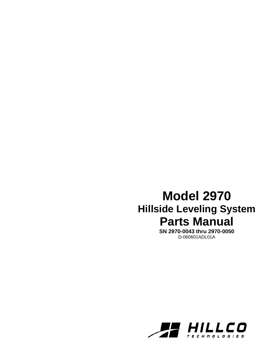# **Model 2970 Hillside Leveling System Parts Manual**

**SN 2970-0043 thru 2970-0050**  D-060601ADL01A

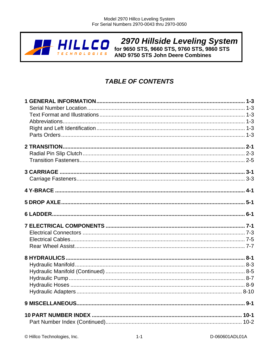

2970 Hillside Leveling System<br>for 9650 STS, 9660 STS, 9760 STS, 9860 STS **AND 9750 STS John Deere Combines** 

# **TABLE OF CONTENTS**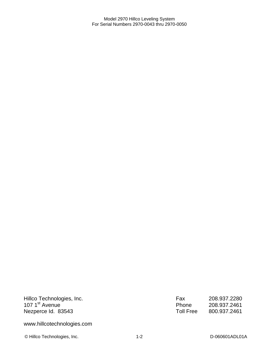Hillco Technologies, Inc. 107 1<sup>st</sup> Avenue Nezperce Id. 83543

Fax 208.937.2280 Phone 208.937.2461 Toll Free 800.937.2461

www.hillcotechnologies.com

© Hillco Technologies, Inc. 1-2 1-2 D-060601ADL01A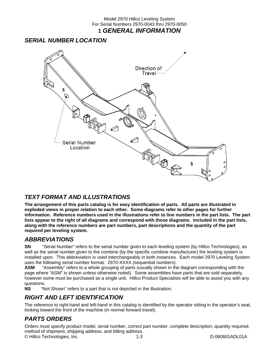### Model 2970 Hillco Leveling System For Serial Numbers 2970-0043 thru 2970-0050 **1** *GENERAL INFORMATION*

### *SERIAL NUMBER LOCATION*



### *TEXT FORMAT AND ILLUSTRATIONS*

**The arrangement of this parts catalog is for easy identification of parts. All parts are illustrated in exploded views in proper relation to each other. Some diagrams refer to other pages for further information. Reference numbers used in the illustrations refer to line numbers in the part lists. The part lists appear to the right of all diagrams and correspond with those diagrams. Included in the part lists, along with the reference numbers are part numbers, part descriptions and the quantity of the part required per leveling system.** 

### *ABBREVIATIONS*

**SN** "Serial Number" refers to the serial number given to each leveling system (by Hillco Technologies), as well as the serial number given to the combine (by the specific combine manufacturer) the leveling system is installed upon. This abbreviation is used interchangeably in both instances. Each model 2970 Leveling System uses the following serial number format: 2970-XXXX (sequential numbers).

**ASM** "Assembly" refers to a whole grouping of parts (usually shown in the diagram corresponding with the page where "ASM" is shown unless otherwise noted). Some assemblies have parts that are sold separately, however some must be purchased as a single unit. Hillco Product Specialists will be able to assist you with any questions.

**NS** "Not Shown" refers to a part that is not depicted in the illustration.

### *RIGHT AND LEFT IDENTIFICATION*

The reference to right-hand and left-hand in this catalog is identified by the operator sitting in the operator's seat, looking toward the front of the machine (in normal forward travel).

### *PARTS ORDERS*

Orders must specify product model, serial number, correct part number, complete description, quantity required, method of shipment, shipping address, and billing address.

© Hillco Technologies, Inc. 1-3 D-060601ADL01A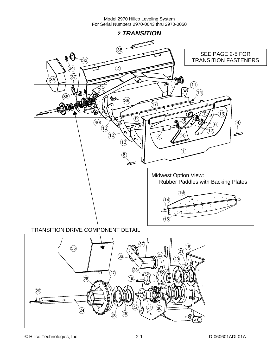



© Hillco Technologies, Inc. 2-1 D-060601ADL01A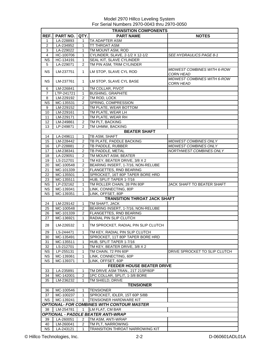|                 |                        |                   | <b>TRANSITION COMPONENTS</b>                                  |                                                        |
|-----------------|------------------------|-------------------|---------------------------------------------------------------|--------------------------------------------------------|
| REF.            | PART NO.               | QTY.              | <b>PART NAME</b>                                              | <b>NOTES</b>                                           |
| $\mathbf 1$     | LA-228893              | 1                 | TA ADAPTER ASM                                                |                                                        |
| 2               | LA-234952              | $\mathbf{1}$      | <b>TT THROAT ASM</b>                                          |                                                        |
| 3               | LA-229022              | 1                 | TM MOUNT ASM, ROD                                             |                                                        |
| 4               | HC-100706              | $\mathbf{1}$      | CYLINDER, SLAVE, 2-1/2 X 12-1/2                               | SEE HYDRAULICS PAGE 8-1                                |
| <b>NS</b>       | HC-134191              | $\mathbf{1}$      | SEAL KIT, SLAVE CYLINDER                                      |                                                        |
| 5               | LA-229071              | $\overline{2}$    | TM PIN ASM, TRIM CYLINDER                                     |                                                        |
| <b>NS</b>       | LM-237751              | $\mathbf{1}$      | LM STOP, SLAVE CYL ROD                                        | MIDWEST COMBINES WITH 6-ROW<br><b>CORN HEAD</b>        |
| <b>NS</b>       | LM-237761              | $\mathbf{1}$      | LM STOP, SLAVE CYL BASE                                       | <b>MIDWEST COMBINES WITH 6-ROW</b><br><b>CORN HEAD</b> |
| 6               | LM-226841              | $\mathbf{1}$      | TM COLLAR, PIVOT                                              |                                                        |
| 7               | LTP-241721             | $\mathbf{1}$      | <b>BUSHING, GRAPHITE</b>                                      |                                                        |
| 8               | LM-229192              | $\overline{2}$    | TM ROD, LOCK                                                  |                                                        |
| <b>NS</b>       | MC-135531              | 2                 | SPRING, COMPRESSION                                           |                                                        |
| 9               | LM-229152              | 1                 | TM PLATE, WEAR BOTTOM                                         |                                                        |
| 10              | LM-229161              | $\mathbf{1}$      | TM PLATE, WEAR LH                                             |                                                        |
| 11              | LM-229171              | $\mathbf{1}$      | TM PLATE, WEAR RH                                             |                                                        |
| 12              | LM-249861              | 2                 | TM PLT, BACKING                                               |                                                        |
| 13              | LP-249871              | 2                 | TM UHMW, BACKING                                              |                                                        |
|                 |                        |                   | <b>BEATER SHAFT</b>                                           |                                                        |
| 14              | LA-249611              | $\mathbf{1}$      | TB ASM, SHAFT                                                 |                                                        |
| 15              | LM-228442              | $\overline{2}$    | TB PLATE, PADDLE BACKING                                      | <b>MIDWEST COMBINES ONLY</b>                           |
| 16              | LP-228881              | $\overline{2}$    | TB PADDLE, RUBBER                                             | MIDWEST COMBINES ONLY                                  |
| 17              | LM-238341              | $\overline{2}$    | TB PADDLE, METAL                                              | NORTHWEST COMBINES ONLY                                |
| 18              | LA-229051              | $\overline{2}$    | TM MOUNT ASM, BEATER                                          |                                                        |
| 19              | LS-212701              | $\mathbf{1}$      | TM KEY, BEATER DRIVE, 3/8 X 2                                 |                                                        |
| 20              | MC-100548              | 2                 | BEARING INSERT, 1-7/16, NON-RELUBE                            |                                                        |
| 21              | MC-101339              | 2                 | FLANGETTES, RND BEARING                                       |                                                        |
| 22              | MC-135501              | $\mathbf{1}$      | SPROCKET, 16T 80P TAPER BORE HRD                              |                                                        |
| 23              | MC-135511              | $\mathbf{1}$      | HUB, SPLIT TAPER 1-7/16                                       |                                                        |
| <b>NS</b>       | LP-232162              | 1                 | TM ROLLER CHAIN, 28 PIN 80P                                   | JACK SHAFT TO BEATER SHAFT                             |
| <b>NS</b>       | MC-139341              | $\mathbf{1}$      | LINK, CONNECTING, 80P                                         |                                                        |
| <b>NS</b>       | MC-139351              | 1                 | LINK, OFFSET, 80P                                             |                                                        |
|                 |                        |                   | TRANSITION THROAT JACK SHAFT                                  |                                                        |
| 24              | LM-229142              | 1                 | TM SHAFT, JACK                                                |                                                        |
| 25              | MC-100548              | 2                 | BEARING INSERT, 1-7/16, NON-RELUBE                            |                                                        |
| 26              | MC-101339              | 2                 | FLANGETTES, RND BEARING                                       |                                                        |
| 27<br>28        | MC-136921<br>LM-226532 | 1<br>$\mathbf{1}$ | RADIAL PIN SLIP CLUTCH<br>TM SPROCKET, RADIAL PIN SLIP CLUTCH |                                                        |
|                 |                        |                   |                                                               |                                                        |
| 29              | LS-244471              | 1                 | TM KEY, RADIAL PIN SLIP CLUTCH                                |                                                        |
| 30              | MC-135491              | 1                 | SPROCKET, 11T 80P TAPER BORE HRD                              |                                                        |
| 31              | MC-135511              | 1                 | HUB, SPLIT TAPER 1-7/16<br>TM KEY, BEATER DRIVE, 3/8 X 2      |                                                        |
| 32<br><b>NS</b> | LS-212701<br>LP-255131 | 1<br>1            | TM CHAIN, 72 PIN 60P                                          | DRIVE SPROCKET TO SLIP CLUTCH                          |
| <b>NS</b>       | MC-139361              | 1                 | LINK, CONNECTING, 60P                                         |                                                        |
|                 |                        |                   |                                                               |                                                        |
| NS.             | MC-139371              | 1                 | LINK, OFFSET, 60P<br><b>FEEDER HOUSE BEATER DRIVE</b>         |                                                        |
|                 |                        |                   |                                                               |                                                        |
| 33              | LA-235891              | 1                 | TM DRIVE ASM TRAN., 21T 21SP/60P                              |                                                        |
| 34              | MC-142001              | 2                 | 1PC COLLAR, SPLIT, 1-3/8 BORE                                 |                                                        |
| 35              | LM-236232              | 1.                | TM SHIELD, DRIVE<br><b>TENSIONER</b>                          |                                                        |
|                 |                        |                   |                                                               |                                                        |
| 36              | MC-100546<br>MC-100237 | 1<br>$\mathbf{1}$ | <b>TENSIONER</b>                                              |                                                        |
| 37<br>ΝS        | MC-139241              | 1.                | SPROCKET, IDLER, 15T 60P 5/8B<br>TENSIONER HARDWARE KIT       |                                                        |
|                 |                        |                   | OPTIONAL- FOR COMBINES WITH CONTOUR MASTER                    |                                                        |
|                 |                        | 1                 | LM FLAT, CM BAR                                               |                                                        |
| 38              | LM-254781              |                   |                                                               |                                                        |
|                 |                        |                   | <b>OPTIONAL - PADDLE BEATER ANTI-WRAP</b>                     |                                                        |
| 39              | LA-260051              | 2                 | TM ASM, ANTI-WRAP                                             |                                                        |
| 40              | LM-260041              | 2                 | TM PLT, NARROWING                                             |                                                        |
| NS.             | LA-243121              | 1                 | <b>TRANSITION THROAT NARROWING KIT</b>                        |                                                        |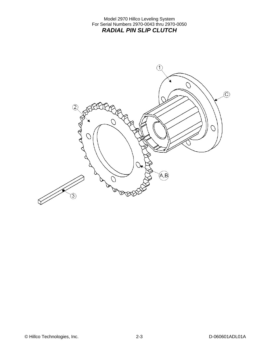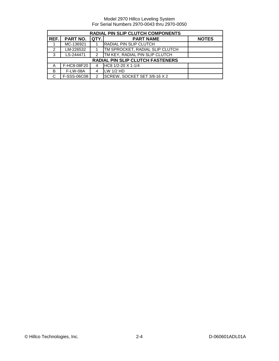| RADIAL PIN SLIP CLUTCH COMPONENTS |                 |               |                                        |              |  |
|-----------------------------------|-----------------|---------------|----------------------------------------|--------------|--|
| REF.                              | <b>PART NO.</b> | QTY.          | <b>PART NAME</b>                       | <b>NOTES</b> |  |
|                                   | MC-136921       |               | <b>IRADIAL PIN SLIP CLUTCH</b>         |              |  |
| 2                                 | LM-226532       |               | <b>TM SPROCKET, RADIAL SLIP CLUTCH</b> |              |  |
| 3                                 | LS-244471       | $\mathcal{P}$ | <b>TM KEY, RADIAL PIN SLIP CLUTCH</b>  |              |  |
|                                   |                 |               | RADIAL PIN SLIP CLUTCH FASTENERS       |              |  |
| Α                                 | F-HC8-08F20     |               | HC8 1/2-20 X 1-1/4                     |              |  |
| B                                 | <b>F-LW-08A</b> | 4             | $LW$ 1/2 HD                            |              |  |
| С                                 | F-SSS-06C08     | 2             | SCREW, SOCKET SET 3/8-16 X 2           |              |  |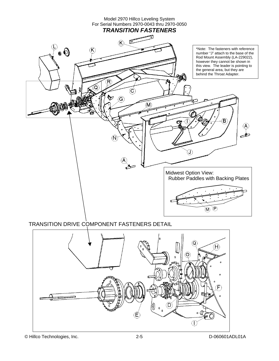

TRANSITION DRIVE COMPONENT FASTENERS DETAIL

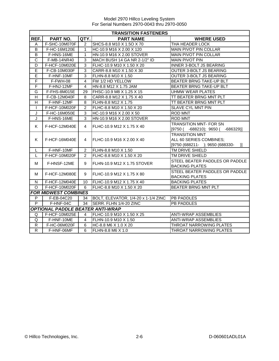|                         | <b>TRANSITION FASTENERS</b>             |                 |                                     |                                                                                                      |  |
|-------------------------|-----------------------------------------|-----------------|-------------------------------------|------------------------------------------------------------------------------------------------------|--|
| REF.                    | PART NO.                                | QTY.            | <b>PART NAME</b>                    | <b>WHERE USED</b>                                                                                    |  |
| A                       | F-SHC-10M070F                           | 2               | SHCS-8.8 M10 X 1.5O X 70            | THA HEADER LOCK                                                                                      |  |
| B                       | F-HC-16M120E                            | 1               | HC-10.9 M16 X 2.00 X 120            | <b>MAIN PIVOT PIN COLLAR</b>                                                                         |  |
| B                       | F-HNS-16ME                              | 1               | HN-10.9 M16 X 2.00 STOVER           | <b>MAIN PIVOT PIN COLLAR</b>                                                                         |  |
| $\overline{\text{c}}$   | F-MB-14NR40                             | 3               | MACH BUSH 14 GA NR 2-1/2" ID        | <b>MAIN PIVOT PIN</b>                                                                                |  |
| D                       | F-HCF-10M020E                           | 3               | FLHC-10.9 M10 X 1.50 X 20           | INNER 3-BOLT JS BEARING                                                                              |  |
| E                       | F-CB-10M030F                            | 3               | CARR-8.8 M10 X 1.50 X 30            | <b>OUTER 3-BOLT JS BEARING</b>                                                                       |  |
| E                       | F-HNF-10MF                              | 3               | FLHN-8.8 M10 X 1.50                 | OUTER 3-BOLT JS BEARING                                                                              |  |
| F                       | F-FWH-08                                | $\overline{4}$  | FW 1/2 HD YELLOW                    | BEATER BRNG TAKE-UP BLT                                                                              |  |
| F                       | F-HNJ-12MF                              | 4               | HN-8.8 M12 X 1.75 JAM               | BEATER BRNG TAKE-UP BLT                                                                              |  |
| G                       | F-FHS-8M015E                            | 29              | FHSC-10.9 M8 X 1.25 X 15            | <b>UHMW WEAR PLATES</b>                                                                              |  |
| $\overline{H}$          | F-CB-12M040F                            | 8               | CARR-8.8 M12 X 1.75 X 40            | TT BEATER BRNG MNT PLT                                                                               |  |
| $\overline{\mathsf{H}}$ | F-HNF-12MF                              | 8               | FLHN-8.8 M12 X 1.75                 | TT BEATER BRNG MNT PLT                                                                               |  |
| $\mathbf{I}$            | F-HCF-10M020F                           | $\overline{2}$  | FLHC-8.8 M10 X 1.50 X 20            | SLAVE CYL MNT PIN                                                                                    |  |
| J                       | F-HC-16M050E                            | 3               | HC-10.9 M16 X 2.00 X 50             | <b>ROD MNT</b>                                                                                       |  |
| J                       | F-HNS-16ME                              | 3               | HN-10.9 M16 X 2.00 STOVER           | <b>ROD MNT</b>                                                                                       |  |
| K                       | F-HCF-12M040E                           | 4               | FLHC-10.9 M12 X 1.75 X 40           | <b>TRANSITION MNT- FOR SN</b><br>$[9750 (-688210); 9650 (-686329)]$                                  |  |
| K                       | F-HCF-16M040E                           | 4               | FLHC-10.9 M16 X 2.00 X 40           | <b>TRANSITION MNT</b><br>ALL 60 SERIES COMBINES;<br>[9750 (688211- ); 9650 (688330-<br>$\mathcal{H}$ |  |
| L                       | F-HNF-10MF                              | 2               | FLHN-8.8 M10 X 1.50                 | TM DRIVE SHIELD                                                                                      |  |
| L                       | F-HCF-10M020F                           | 2               | FLHC-8.8 M10 X 1.50 X 20            | TM DRIVE SHIELD                                                                                      |  |
| M                       | F-HNSF-12ME                             | 9               | FLHN-10.9 M12 X 1.75 STOVER         | STEEL BEATER PADDLES OR PADDLE<br><b>BACKING PLATES</b>                                              |  |
| м                       | F-HCF-12M080E                           | 9               | FLHC-10.9 M12 X 1.75 X 80           | STEEL BEATER PADDLES OR PADDLE<br><b>BACKING PLATES</b>                                              |  |
| $\mathsf{N}$            | F-HCF-12M040E                           | 10 <sup>1</sup> | FLHC-10.9 M12 X 1.75 X 40           | <b>BACKING PLATES</b>                                                                                |  |
| $\circ$                 | F-HCF-10M020F                           | 6               | FLHC-8.8 M10 X 1.50 X 20            | BEATER BRNG MNT PLT                                                                                  |  |
|                         | <b>FOR MIDWEST COMBINES</b>             |                 |                                     |                                                                                                      |  |
| P                       | F-EB-04C20                              | 34              | BOLT, ELEVATOR, 1/4-20 x 1-1/4 ZINC | <b>PB PADDLES</b>                                                                                    |  |
| P                       | F-HNF-04C                               | 34              | SERR. FLHN 1/4-20 ZINC              | <b>PB PADDLES</b>                                                                                    |  |
|                         | <b>OPTIONAL PADDLE BEATER ANTI-WRAP</b> |                 |                                     |                                                                                                      |  |
| Q                       | F-HCF-10M025E                           | $\overline{4}$  | FLHC-10.9 M10 X 1.50 X 25           | <b>ANTI-WRAP ASSEMBLIES</b>                                                                          |  |
| Q                       | F-HNF-10ME                              | 4               | FLHN-10.9 M10 X 1.50                | <b>ANTI-WRAP ASSEMBLIES</b>                                                                          |  |
| $\overline{R}$          | F-HC-06M020F                            | 6               | HC-8.8 M6 X 1.0 X 20                | THROAT NARROWING PLATES                                                                              |  |
| $\mathsf{R}$            | F-HNF-06MF                              | 6               | FLHN-8.8 M6 X 1.0                   | THROAT NARROWING PLATES                                                                              |  |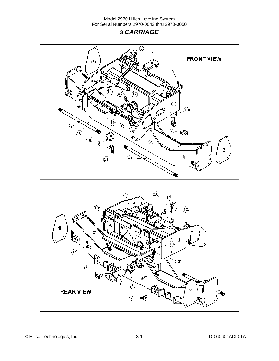# **3** *CARRIAGE*



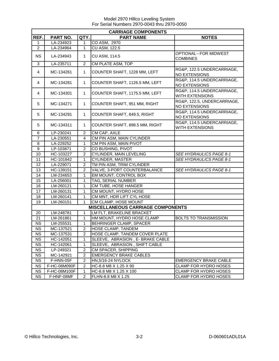| <b>CARRIAGE COMPONENTS</b> |              |                |                                          |                                                      |  |
|----------------------------|--------------|----------------|------------------------------------------|------------------------------------------------------|--|
| REF.                       | PART NO.     | QTY.           | <b>PART NAME</b>                         | <b>NOTES</b>                                         |  |
| 1                          | LA-234923    | 1              | CO ASM, 2970                             |                                                      |  |
| $\overline{2}$             | LA-234964    | 1              | <b>CU ASM, 122.5</b>                     |                                                      |  |
| <b>NS</b>                  | LA-234943    | 1              | <b>CU ASM, 114.5</b>                     | OPTIONAL--FOR MIDWEST<br><b>COMBINES</b>             |  |
| 3                          | LA-235711    | $\overline{c}$ | CM PLATE ASM, TOP                        |                                                      |  |
| 4                          | MC-134261    | $\mathbf{1}$   | COUNTER SHAFT, 1228 MM, LEFT             | RG&P, 122.5 UNDERCARRIAGE,<br>NO EXTENSIONS          |  |
| 4                          | MC-134281    | $\mathbf{1}$   | COUNTER SHAFT, 1126.5 MM, LEFT           | RG&P, 114.5 UNDERCARRIAGE,<br>NO EXTENSIONS          |  |
| 4                          | MC-134301    | $\mathbf{1}$   | COUNTER SHAFT, 1175.5 MM, LEFT           | RG&P, 114.5 UNDERCARRIAGE,<br>WITH EXTENSIONS        |  |
| 5                          | MC-134271    | $\mathbf{1}$   | COUNTER SHAFT, 951 MM, RIGHT             | RG&P, 122.5, UNDERCARRIAGE,<br>NO EXTENSIONS         |  |
| 5                          | MC-134291    | 1              | COUNTER SHAFT, 849.5, RIGHT              | RG&P, 114.5 UNDERCARRIAGE,<br>NO EXTENSIONS          |  |
| 5                          | MC-134311    | 1              | COUNTER SHAFT, 898.5 MM, RIGHT           | RG&P, 114.5 UNDERCARRIAGE,<br><b>WITH EXTENSIONS</b> |  |
| 6                          | LP-230241    | $\overline{c}$ | CM CAP, AXLE                             |                                                      |  |
| $\overline{7}$             | LA-230551    | 4              | CM PIN ASM, MAIN CYLINDER                |                                                      |  |
| 8                          | LA-229252    | 1              | CM PIN ASM, MAIN PIVOT                   |                                                      |  |
| $\boldsymbol{9}$           | LP-103871    | $\overline{c}$ | CO BUSHING, PIVOT                        |                                                      |  |
| 10                         | HC-103227    | $\overline{c}$ | CYLINDER, MAIN LEVELING                  | SEE HYDRAULICS PAGE 8-1                              |  |
| 11                         | HC-101842    | 1              | CYLINDER, MASTER                         | SEE HYDRAULICS PAGE 8-1                              |  |
| 12                         | LA-229071    | $\overline{c}$ | TM PIN ASM, TRIM CYLINDER                |                                                      |  |
| 13                         | HC-139151    | 2              | VALVE, 3-PORT COUNTERBALANCE             | SEE HYDRAULICS PAGE 8-1                              |  |
| 14                         | LM-234653    | 1              | EM MOUNT, CONTROL BOX                    |                                                      |  |
| 15                         | LA-256001    | 1              | TAG, SERIAL NUMBER                       |                                                      |  |
| 16                         | LM-260121    | $\mathbf{1}$   | CM TUBE, HOSE HANGER                     |                                                      |  |
| 17                         | LM-260131    | 1              | CM MOUNT, HYDRO HOSE                     |                                                      |  |
| 18                         | LM-260141    | $\mathbf{1}$   | CM MNT, HDR LIFT CYL HOSE                |                                                      |  |
| 19                         | LM-260151    | 1              | CM CLAMP, HOSE MOUNT                     |                                                      |  |
|                            |              |                | <b>MISCELLANEOUS CARRIAGE COMPONENTS</b> |                                                      |  |
| 20                         | LM-248781    | $\mathbf{1}$   | LM FLT, BRAKELINE BRACKET                |                                                      |  |
| 21                         | LM-261861    | $\mathbf{1}$   | HM MOUNT, HYDRO HOSE CLAMP               | <b>BOLTS TO TRANSMISSION</b>                         |  |
| <b>NS</b>                  | LM-255531    | $\mathbf{1}$   | BEHRINGER CLAMP, SPACER                  |                                                      |  |
| <b>NS</b>                  | MC-137521    | $\overline{2}$ | HOSE CLAMP, TANDEM                       |                                                      |  |
| <b>NS</b>                  | MC-137531    | 2              | HOSE CLAMP, TANDEM COVER PLATE           |                                                      |  |
| <b>NS</b>                  | HC-142051    | 1              | SLEEVE, ABRASION, E- BRAKE CABLE         |                                                      |  |
| <b>NS</b>                  | HC-142061    | 1              | SLEEVE, ABRASION, SHIFT CABLE            |                                                      |  |
| <b>NS</b>                  | LP-249321    | $\overline{2}$ | CM SPACER, SHIPPING                      |                                                      |  |
| <b>NS</b>                  | MC-142921    | $\overline{2}$ | <b>EMERGENCY BRAKE CABLES</b>            |                                                      |  |
| <b>NS</b>                  | F-HNN-05F    | 2              | <b>HN,5/16-24 NYLOCK</b>                 | <b>EMERGENCY BRAKE CABLE</b>                         |  |
| <b>NS</b>                  | F-HC-08M090F | 2              | HC-8.8 M8 X 1.25 X 90                    | <b>CLAMP FOR HYDRO HOSES</b>                         |  |
| <b>NS</b>                  | F-HC-08M100F | 1              | HC-8.8 M8 X 1.25 X 100                   | CLAMP FOR HYDRO HOSES                                |  |
| <b>NS</b>                  | F-HNF-08MF   | $\overline{c}$ | FLHN-8.8 M8 X 1.25                       | <b>CLAMP FOR HYDRO HOSES</b>                         |  |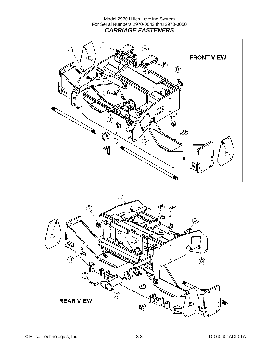### Model 2970 Hillco Leveling System For Serial Numbers 2970-0043 thru 2970-0050 *CARRIAGE FASTENERS*





© Hillco Technologies, Inc. 3-3 D-060601ADL01A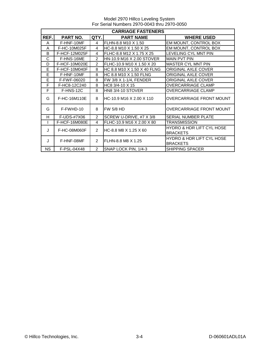Model 2970 Hillco Leveling System For Serial Numbers 2970-0043 thru 2970-0050

| <b>CARRIAGE FASTENERS</b> |                 |                |                               |                                                         |  |
|---------------------------|-----------------|----------------|-------------------------------|---------------------------------------------------------|--|
| REF.                      | <b>PART NO.</b> | QTY.           | <b>PART NAME</b>              | <b>WHERE USED</b>                                       |  |
| A                         | F-HNF-10MF      | 4              | FLHN-8.8 M10 X 1.50           | EM MOUNT, CONTROL BOX                                   |  |
| A                         | F-HC-10M025F    | $\overline{4}$ | HC-8.8 M10 X 1.50 X 25        | EM MOUNT, CONTROL BOX                                   |  |
| B                         | F-HCF-12M025F   | $\overline{4}$ | FLHC-8.8 M12 X 1.75 X 25      | <b>LEVELING CYL MNT PIN</b>                             |  |
| C                         | F-HNS-16ME      | $\mathcal{P}$  | HN-10.9 M16 X 2.00 STOVER     | <b>MAIN PVT PIN</b>                                     |  |
| D                         | F-HCF-10M020E   | $\mathcal{P}$  | FLHC-10.9 M10 X 1.50 X 20     | <b>MASTER CYL MNT PIN</b>                               |  |
| E                         | F-HCF-10M040F   | 8              | HC 8.8 M10 X 1.50 X 40 FLNG   | ORIGINAL AXLE COVER                                     |  |
| E                         | F-HNF-10MF      | 8              | <b>HC 8.8 M10 X 1.50 FLNG</b> | ORIGINAL AXLE COVER                                     |  |
| E                         | F-FWF-06020     | 8              | FW 3/8 X 1-1/4, FENDER        | <b>ORIGINAL AXLE COVER</b>                              |  |
| F                         | F-HC8-12C240    | 8              | HC8 3/4-10 X 15               | <b>OVERCARRIAGE CLAMP</b>                               |  |
| F                         | F-HNS-12C       | 8              | HN8 3/4-10 STOVER             | <b>OVERCARRIAGE CLAMP</b>                               |  |
| G                         | F-HC-16M110E    | 8              | IHC-10.9 M16 X 2.00 X 110     | <b>OVERCARRIAGE FRONT MOUNT</b>                         |  |
| G                         | F-FWHD-10       | 8              | <b>FW 5/8 HD</b>              | <b>OVERCARRIAGE FRONT MOUNT</b>                         |  |
| н                         | F-UDS-#7X06     | $\overline{2}$ | SCREW U-DRIVE, #7 X 3/8       | <b>SERIAL NUMBER PLATE</b>                              |  |
|                           | F-HCF-16M080E   | 4              | FLHC-10.9 M16 X 2.00 X 80     | TRANSMISSION                                            |  |
| $\cdot$                   | F-HC-08M060F    | $\mathcal{P}$  | IHC-8.8 M8 X 1.25 X 60        | <b>HYDRO &amp; HDR LIFT CYL HOSE</b><br><b>BRACKETS</b> |  |
| $\cdot$                   | F-HNF-08MF      | $\mathcal{P}$  | FLHN-8.8 M8 X 1.25            | <b>HYDRO &amp; HDR LIFT CYL HOSE</b><br><b>BRACKETS</b> |  |
| <b>NS</b>                 | F-PSL-04X48     | $\overline{2}$ | SNAP LOCK PIN, 1/4-3          | <b>SHIPPING SPACER</b>                                  |  |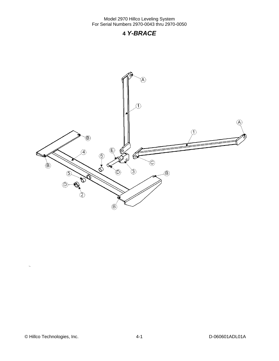## **4** *Y-BRACE*

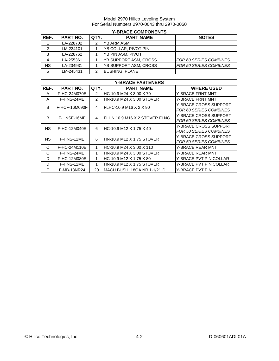|                | <b>Y-BRACE COMPONENTS</b> |                |                                |                               |  |  |
|----------------|---------------------------|----------------|--------------------------------|-------------------------------|--|--|
| REF.           | PART NO.                  | QTY.           | <b>PART NAME</b>               | <b>NOTES</b>                  |  |  |
| 1              | LA-228702                 | 2              | <b>YB ARM ASM</b>              |                               |  |  |
| $\overline{2}$ | LM-234101                 | 1              | YB COLLAR, PIVOT PIN           |                               |  |  |
| 3              | LA-228762                 | 1              | YB PIN ASM, PIVOT              |                               |  |  |
| 4              | LA-255361                 | 1              | YB SUPPORT ASM, CROSS          | FOR 60 SERIES COMBINES        |  |  |
| <b>NS</b>      | LA-234931                 | 1              | YB SUPPORT ASM, CROSS          | <b>FOR 50 SERIES COMBINES</b> |  |  |
| 5              | LM-245431                 | $\overline{2}$ | <b>BUSHING, PLANE</b>          |                               |  |  |
|                |                           |                |                                |                               |  |  |
|                |                           |                | <b>Y-BRACE FASTENERS</b>       |                               |  |  |
| REF.           | <b>PART NO.</b>           | QTY.           | <b>PART NAME</b>               | <b>WHERE USED</b>             |  |  |
| A              | F-HC-24M070E              | 2              | HC-10.9 M24 X 3.00 X 70        | <b>Y-BRACE FRNT MNT</b>       |  |  |
| A              | F-HNS-24ME                | $\mathcal{P}$  | HN-10.9 M24 X 3.00 STOVER      | <b>Y-BRACE FRNT MNT</b>       |  |  |
| B              | F-HCF-16M090F             | 4              | FLHC-10.9 M16 X 2 X 90         | Y-BRACE CROSS SUPPORT         |  |  |
|                |                           |                |                                | FOR 60 SERIES COMBINES        |  |  |
| B              | F-HNSF-16ME               | $\overline{4}$ | IFLHN 10.9 M16 X 2 STOVER FLNG | <b>Y-BRACE CROSS SUPPORT</b>  |  |  |
|                |                           |                |                                | FOR 60 SERIES COMBINES        |  |  |
| <b>NS</b>      | F-HC-12M040E              | 6              | HC-10.9 M12 X 1.75 X 40        | Y-BRACE CROSS SUPPORT         |  |  |
|                |                           |                |                                | <b>FOR 50 SERIES COMBINES</b> |  |  |
| <b>NS</b>      | F-HNS-12ME                | 6              | IHN-10.9 M12 X 1.75 STOVER     | <b>Y-BRACE CROSS SUPPORT</b>  |  |  |
|                |                           |                |                                | <b>FOR 50 SERIES COMBINES</b> |  |  |
| C              | F-HC-24M110E              | 1              | HC-10.9 M24 X 3.00 X 110       | <b>Y-BRACE REAR MNT</b>       |  |  |
| C              | F-HNS-24ME                | 1              | HN-10.9 M24 X 3.00 STOVER      | <b>Y-BRACE REAR MNT</b>       |  |  |
| D              | F-HC-12M080E              | 1              | HC-10.9 M12 X 1.75 X 80        | Y-BRACE PVT PIN COLLAR        |  |  |
| D              | F-HNS-12ME                | 1              | HN-10.9 M12 X 1.75 STOVER      | Y-BRACE PVT PIN COLLAR        |  |  |
| E              | F-MB-18NR24               | 20             | MACH BUSH 18GA NR 1-1/2" ID    | Y-BRACE PVT PIN               |  |  |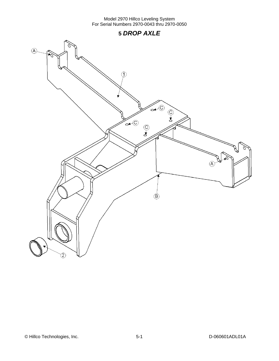# **5** *DROP AXLE*



© Hillco Technologies, Inc. 2008 1999 12:30 12:40 12:40 13:40 13:40 14:40 14:40 14:40 15-1 D-060601ADL01A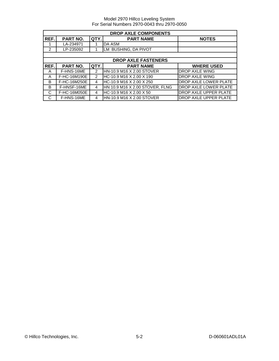|                | <b>DROP AXLE COMPONENTS</b> |                |                                 |                       |  |  |
|----------------|-----------------------------|----------------|---------------------------------|-----------------------|--|--|
| REF.           | PART NO.                    | QTY.           | <b>PART NAME</b>                | <b>NOTES</b>          |  |  |
|                | LA-234971                   |                | DA ASM                          |                       |  |  |
| $\overline{2}$ | LP-235092                   |                | LM BUSHING, DA PIVOT            |                       |  |  |
|                |                             |                |                                 |                       |  |  |
|                |                             |                | <b>DROP AXLE FASTENERS</b>      |                       |  |  |
| REF.           | PART NO.                    | QTY.           | <b>PART NAME</b>                | <b>WHERE USED</b>     |  |  |
| A              | F-HNS-16ME                  | $\overline{2}$ | HN-10.9 M16 X 2.00 STOVER       | DROP AXLE WING        |  |  |
| A              | F-HC-16M190E                | $\mathcal{P}$  | HC-10.9 M16 X 2.00 X 190        | DROP AXLE WING        |  |  |
| B              | F-HC-16M250E                | 4              | HC-10.9 M16 X 2.00 X 250        | DROP AXLE LOWER PLATE |  |  |
| B              | F-HNSF-16ME                 | 4              | HN 10.9 M16 X 2.00 STOVER, FLNG | DROP AXLE LOWER PLATE |  |  |
| C              | F-HC-16M050E                | 4              | HC-10.9 M16 X 2.00 X 50         | DROP AXLE UPPER PLATE |  |  |
| C              | F-HNS-16ME                  | 4              | HN-10.9 M16 X 2.00 STOVER       | DROP AXLE UPPER PLATE |  |  |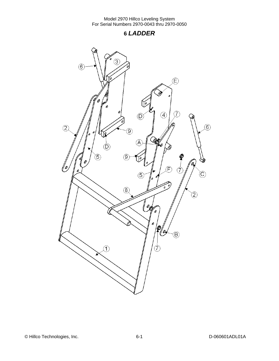**6** *LADDER* 

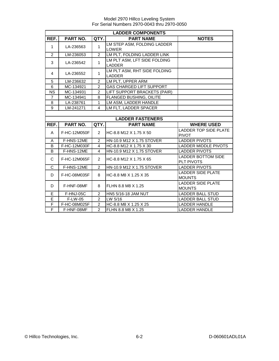| <b>LADDER COMPONENTS</b>     |              |                |                                               |                                           |
|------------------------------|--------------|----------------|-----------------------------------------------|-------------------------------------------|
| REF.                         | PART NO.     | QTY.           | <b>PART NAME</b>                              | <b>NOTES</b>                              |
| $\mathbf{1}$                 | LA-236563    | $\mathbf{1}$   | LM STEP ASM, FOLDING LADDER                   |                                           |
|                              |              |                | <b>LOWER</b>                                  |                                           |
| $\overline{2}$               | LM-236053    | $\overline{2}$ | LM PLT, FOLDING LADDER LINK                   |                                           |
| 3                            | LA-236542    | $\mathbf{1}$   | LM PLT ASM, LFT SIDE FOLDING<br><b>LADDER</b> |                                           |
| $\overline{4}$               | LA-236552    | $\mathbf{1}$   | LM PLT ASM, RHT SIDE FOLDING<br><b>LADDER</b> |                                           |
| 5                            | LM-236632    | $\overline{2}$ | LM PLT, UPPER ARM                             |                                           |
| $6\phantom{a}$               | MC-134921    | $\overline{2}$ | <b>GAS CHARGED LIFT SUPPORT</b>               |                                           |
| <b>NS</b>                    | MC-134931    | $\overline{2}$ | LIFT SUPPORT BRACKETS (PAIR)                  |                                           |
| $\overline{7}$               | MC-134941    | 8              | <b>FLANGED BUSHING, OILITE</b>                |                                           |
| 8                            | LA-238761    | $\mathbf{1}$   | LM ASM, LADDER HANDLE                         |                                           |
| 9                            | LM-241271    | 4              | LM FLT, LADDER SPACER                         |                                           |
|                              |              |                |                                               |                                           |
|                              |              |                | <b>LADDER FASTENERS</b>                       |                                           |
| REF.                         | PART NO.     | QTY.           | <b>PART NAME</b>                              | <b>WHERE USED</b>                         |
|                              |              |                |                                               |                                           |
| A                            | F-HC-12M050F | $\overline{2}$ | HC-8.8 M12 X 1.75 X 50                        | LADDER TOP SIDE PLATE<br><b>PIVOT</b>     |
| A                            | F-HNS-12ME   | $\overline{2}$ | HN-10.9 M12 X 1.75 STOVER                     | <b>LADDER PIVOTS</b>                      |
| B                            | F-HC-12M030F | 4              | HC-8.8 M12 X 1.75 X 30                        | LADDER MIDDLE PIVOTS                      |
| B                            | F-HNS-12ME   | $\overline{4}$ | HN-10.9 M12 X 1.75 STOVER                     | <b>LADDER PIVOTS</b>                      |
| C                            | F-HC-12M065F | 2              | HC-8.8 M12 X 1.75 X 65                        | <b>LADDER BOTTOM SIDE</b><br>PLT PIVOTS   |
| C                            | F-HNS-12ME   | $\overline{2}$ | HN-10.9 M12 X 1.75 STOVER                     | <b>LADDER PIVOTS</b>                      |
| D                            | F-HC-08M035F | 8              | HC-8.8 M8 X 1.25 X 35                         | <b>LADDER SIDE PLATE</b><br><b>MOUNTS</b> |
| D                            | F-HNF-08MF   | 8              | FLHN 8.8 M8 X 1.25                            | <b>LADDER SIDE PLATE</b><br><b>MOUNTS</b> |
| E                            | F-HNJ-05C    | $\mathcal{P}$  | HN5 5/16-18 JAM NUT                           | <b>LADDER BALL STUD</b>                   |
| E                            | F-LW-05      | $\overline{2}$ | LW 5/16                                       | <b>LADDER BALL STUD</b>                   |
| F<br>$\overline{\mathsf{F}}$ | F-HC-08M025F | $\overline{2}$ | HC-8.8 M8 X 1.25 X 25                         | <b>LADDER HANDLE</b>                      |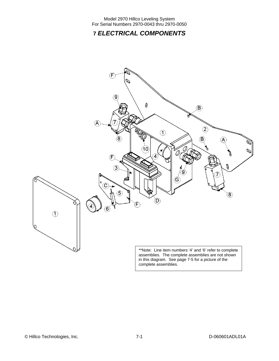# **7** *ELECTRICAL COMPONENTS*

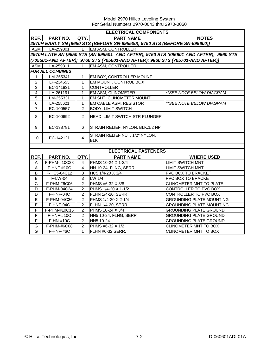Model 2970 Hillco Leveling System For Serial Numbers 2970-0043 thru 2970-0050

|                         | <b>ELECTRICAL COMPONENTS</b>                                                          |                |                                                                               |                                 |  |  |
|-------------------------|---------------------------------------------------------------------------------------|----------------|-------------------------------------------------------------------------------|---------------------------------|--|--|
| REF.I                   | <b>PART NO.</b>                                                                       | QTY.           | <b>PART NAME</b>                                                              | <b>NOTES</b>                    |  |  |
|                         |                                                                                       |                | 2970H EARLY SN [9650 STS (BEFORE SN-695500); 9750 STS (BEFORE SN-695600)]     |                                 |  |  |
| ASM                     | $LA-259301$                                                                           | $\overline{1}$ | <b>EM ASM, CONTROLLER</b>                                                     |                                 |  |  |
|                         | 2970H LATE SN [9650 STS (SN 695501- AND AFTER); 9750 STS (695601-AND AFTER); 9660 STS |                |                                                                               |                                 |  |  |
|                         |                                                                                       |                | (705501-AND AFTER); 9760 STS (705601-AND AFTER); 9860 STS (705701-AND AFTER)] |                                 |  |  |
| ASM                     | LA-259311                                                                             | $\mathbf{1}$   | EM ASM, CONTROLLER                                                            |                                 |  |  |
|                         | <b>FOR ALL COMBINES</b>                                                               |                |                                                                               |                                 |  |  |
| 1                       | LM-255341                                                                             | 1              | EM BOX, CONTROLLER MOUNT                                                      |                                 |  |  |
| $\overline{c}$          | LP-234653                                                                             | $\mathbf{1}$   | EM MOUNT, CONTROL BOX                                                         |                                 |  |  |
| $\mathbf 3$             | EC-141831                                                                             | 1              | <b>CONTROLLER</b>                                                             |                                 |  |  |
| $\overline{\mathbf{4}}$ | LA-261191                                                                             | 1              | EM ASM, CLINOMETER                                                            | **SEE NOTE BELOW DIAGRAM        |  |  |
| 5                       | LM-255331                                                                             | 1              | EM SHT, CLINOMETER MOUNT                                                      |                                 |  |  |
| 6                       | LA-255621                                                                             | $\mathbf{1}$   | EM CABLE ASM, RESISTOR                                                        | ** SEE NOTE BELOW DIAGRAM       |  |  |
| $\overline{7}$          | EC-100557                                                                             | $\overline{2}$ | <b>BODY, LIMIT SWITCH</b>                                                     |                                 |  |  |
| 8                       | EC-100692                                                                             | $\overline{2}$ | <b>HEAD, LIMIT SWITCH STR PLUNGER</b>                                         |                                 |  |  |
| 9                       | EC-138781                                                                             | 6              | STRAIN RELIEF, NYLON, BLK, 1/2 NPT                                            |                                 |  |  |
| 10                      | EC-142121                                                                             | $\overline{4}$ | STRAIN RELIEF NUT, 1/2" NYLON,<br><b>BLK</b>                                  |                                 |  |  |
|                         |                                                                                       |                |                                                                               |                                 |  |  |
|                         |                                                                                       |                | <b>ELECTRICAL FASTENERS</b>                                                   |                                 |  |  |
| REF.                    | PART NO.                                                                              | QTY.           | <b>PART NAME</b>                                                              | <b>WHERE USED</b>               |  |  |
| Α                       | F-PHM-#10C28                                                                          | 4              | PHMS 10-24 X 1-3/4                                                            | <b>LIMIT SWITCH MNT</b>         |  |  |
| Α                       | <b>F-HNF-#10C</b>                                                                     | 4              | HN 10-24, FLNG, SERR                                                          | <b>LIMIT SWITCH MNT</b>         |  |  |
| B                       | F-HC5-04C12                                                                           | 3              | HC5 1/4-20 X 3/4                                                              | PVC BOX TO BRACKET              |  |  |
| B                       | F-LW-04                                                                               | $\overline{3}$ | LW 1/4                                                                        | PVC BOX TO BRACKET              |  |  |
| $\overline{\text{c}}$   | F-PHM-#6C06                                                                           | $\overline{2}$ | PHMS #6-32 X 3/8                                                              | CLINOMETER MNT TO PLATE         |  |  |
| D                       | F-PHM-04C24                                                                           | $\overline{2}$ | PHMS 1/4-20 X 1-1/2                                                           | <b>CONTROLLER TO PVC BOX</b>    |  |  |
| D                       | F-HNF-04C                                                                             | $\overline{2}$ | FLHN 1/4-20, SERR                                                             | CONTROLLER TO PVC BOX           |  |  |
| E                       | F-PHM-04C36                                                                           | $\overline{2}$ | PHMS 1/4-20 X 2-1/4                                                           | <b>GROUNDING PLATE MOUNTING</b> |  |  |
| E                       | F-HNF-04C                                                                             | $\overline{c}$ | FLHN 1/4-20, SERR                                                             | <b>GROUNDING PLATE MOUNTING</b> |  |  |
| F                       | F-PHM-#10C16                                                                          | $\overline{2}$ | PHMS 10-24 X 3/4                                                              | <b>GROUNDING PLATE GROUND</b>   |  |  |
| F                       | F-HNF-#10C                                                                            | $\overline{2}$ | HN5 10-24, FLNG, SERR                                                         | <b>GROUNDING PLATE GROUND</b>   |  |  |
| $\mathsf F$             | F-HN-#10C                                                                             | $\overline{2}$ | HN5 10-24                                                                     | <b>GROUNDING PLATE GROUND</b>   |  |  |
| G                       | F-PHM-#6C08                                                                           | $\overline{a}$ | PHMS #6-32 X 1/2                                                              | CLINOMETER MNT TO BOX           |  |  |
| G                       | F-HNF-#6C                                                                             | $\mathbf 1$    | FLHN #6-32 SERR.                                                              | CLINOMETER MNT TO BOX           |  |  |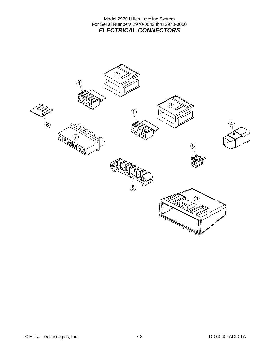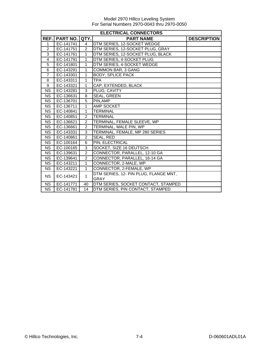|                        | <b>ELECTRICAL CONNECTORS</b> |                |                                       |                    |  |  |
|------------------------|------------------------------|----------------|---------------------------------------|--------------------|--|--|
| REF.                   | <b>PART NO.</b>              | QTY.           | <b>PART NAME</b>                      | <b>DESCRIPTION</b> |  |  |
| 1                      | EC-141741                    | $\overline{4}$ | DTM SERIES, 12-SOCKET WEDGE           |                    |  |  |
| $\overline{c}$         | EC-141751                    | $\overline{2}$ | DTM SERIES, 12-SOCKET PLUG, GRAY      |                    |  |  |
| $\overline{3}$         | EC-141761                    | $\mathbf{1}$   | DTM SERIES, 12-SOCKET PLUG, BLACK     |                    |  |  |
| 4                      | EC-141791                    | $\mathbf{1}$   | DTM SERIES, 4-SOCKET PLUG             |                    |  |  |
| 5                      | EC-141801                    | $\mathbf{1}$   | DTM SERIES, 4-SOCKET WEDGE            |                    |  |  |
| 6                      | EC-143291                    | $\mathbf{1}$   | COMMON BAR, 3 GANG                    |                    |  |  |
| $\overline{7}$         | EC-143301                    | 1              | <b>BODY, SPLICE PACK</b>              |                    |  |  |
| 8                      | EC-143311                    | 1              | <b>TPA</b>                            |                    |  |  |
| 9                      | EC-143321                    | $\mathbf{1}$   | CAP, EXTENDED, BLACK                  |                    |  |  |
| <b>NS</b>              | EC-143281                    | 3              | PLUG, CAVITY                          |                    |  |  |
| <b>NS</b>              | EC-136631                    | 8              | SEAL, GREEN                           |                    |  |  |
| <b>NS</b>              | EC-136701                    | 5              | PIN, AMP                              |                    |  |  |
| <b>NS</b>              | EC-136711                    | 1              | AMP SOCKET                            |                    |  |  |
| $\overline{\text{NS}}$ | EC-140841                    | $\mathbf{1}$   | <b>TERMINAL</b>                       |                    |  |  |
| <b>NS</b>              | EC-140851                    | 2              | <b>TERMINAL</b>                       |                    |  |  |
| <b>NS</b>              | EC-136621                    | $\overline{2}$ | TERMINAL, FEMALE SLEEVE, WP           |                    |  |  |
| <b>NS</b>              | EC-136661                    | $\overline{2}$ | TERMINAL, MALE PIN, WP                |                    |  |  |
| <b>NS</b>              | EC-143331                    | 3              | TERMINAL, FEMALE, MP 280 SERIES       |                    |  |  |
| NS                     | EC-140861                    | $\overline{2}$ | SEAL, RED                             |                    |  |  |
| <b>NS</b>              | EC-100164                    | 6              | PIN, ELECTRICAL                       |                    |  |  |
| <b>NS</b>              | EC-100165                    | 3              | SOCKET, SIZE 16 DEUTSCH               |                    |  |  |
| <b>NS</b>              | EC-139631                    | $\overline{2}$ | CONNECTOR, PARALLEL, 12-10 GA         |                    |  |  |
| <b>NS</b>              | EC-139641                    | $\overline{2}$ | CONNECTOR, PARALLEL, 16-14 GA         |                    |  |  |
| <b>NS</b>              | EC-143211                    | $\mathbf{1}$   | CONNECTOR, 2-MALE, WP                 |                    |  |  |
| <b>NS</b>              | EC-143221                    | $\mathbf{1}$   | CONNECTOR, 2-FEMALE, WP               |                    |  |  |
| <b>NS</b>              | EC-143421                    | $\mathbf{1}$   | DTM SERIES, 12- PIN PLUG, FLANGE MNT, |                    |  |  |
|                        |                              |                | <b>GRAY</b>                           |                    |  |  |
| <b>NS</b>              | EC-141771                    | 40             | DTM SERIES, SOCKET CONTACT, STAMPED   |                    |  |  |
| <b>NS</b>              | EC-141781                    | 14             | DTM SERIES, PIN CONTACT, STAMPED      |                    |  |  |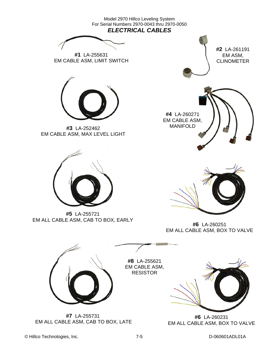

© Hillco Technologies, Inc. 7-5 D-060601ADL01A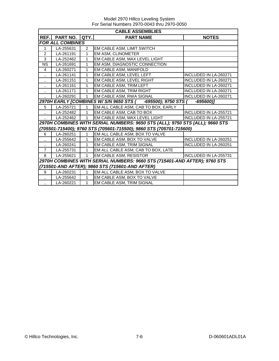|                      | <b>CABLE ASSEMBLIES</b> |               |                                                                              |                       |  |
|----------------------|-------------------------|---------------|------------------------------------------------------------------------------|-----------------------|--|
| REF.                 | PART NO.                | QTY.          | <b>PART NAME</b>                                                             | <b>NOTES</b>          |  |
|                      | <b>FOR ALL COMBINES</b> |               |                                                                              |                       |  |
| 1                    | LA-255631               | $\mathcal{P}$ | EM CABLE ASM, LIMIT SWITCH                                                   |                       |  |
| 2                    | LA-261191               | 1             | EM ASM, CLINOMETER                                                           |                       |  |
| 3                    | LA-252462               | 1             | EM CABLE ASM, MAX LEVEL LIGHT                                                |                       |  |
| <b>NS</b>            | LA-261691               | 1             | EM ASM, DIAGNOSTIC CONNECTION                                                |                       |  |
| $\overline{4}$       | LA-260271               | 1             | EM CABLE ASM, MANIFOLD                                                       |                       |  |
|                      | LA-261141               | 1             | EM CABLE ASM, LEVEL LEFT                                                     | INCLUDED IN LA-260271 |  |
|                      | LA-261151               | 1             | EM CABLE ASM, LEVEL RIGHT                                                    | INCLUDED IN LA-260271 |  |
|                      | LA-261161               | 1             | EM CABLE ASM, TRIM LEFT                                                      | INCLUDED IN LA-260271 |  |
|                      | LA-261171               | 1             | EM CABLE ASM, TRIM RIGHT                                                     | INCLUDED IN LA-260271 |  |
|                      | LA-260291               | 1             | EM CABLE ASM, RWA SIGNAL                                                     | INCLUDED IN LA-260271 |  |
|                      |                         |               | 2970H EARLY [COMBINES W/ S/N 9650 STS ( -695500); 9750 STS (                 | $-695600$ ]           |  |
| 5                    | LA-255721               | $\mathbf{1}$  | EM ALL CABLE ASM, CAB TO BOX, EARLY                                          |                       |  |
| $\ddot{\phantom{a}}$ | LA-252482               | $\mathbf{1}$  | EM CABLE ASM, CAB TO BOX                                                     | INCLUDED IN LA-255721 |  |
|                      | LA-252462               | 1             | EM CABLE ASM, MAX LEVEL LIGHT                                                | INCLUDED IN LA-255721 |  |
|                      |                         |               | 2970H COMBINES WITH SERIAL NUMBERS: 9650 STS (ALL); 9750 STS (ALL); 9660 STS |                       |  |
|                      |                         |               | (705501-715400); 9760 STS (705601-715500); 9860 STS (705701-715600)          |                       |  |
| 6                    | LA-260251               | $\mathbf{1}$  | EM ALL CABLE ASM, BOX TO VALVE                                               |                       |  |
|                      | LA-255642               | 1             | EM CABLE ASM, BOX TO VALVE                                                   | INCLUDED IN LA-260251 |  |
| $\cdot$ .            | LA-260241               | 1             | EM CABLE ASM, TRIM SIGNAL                                                    | INCLUDED IN LA-260251 |  |
| $\overline{7}$       | LA-255731               | 1             | EM ALL CABLE ASM, CAB TO BOX, LATE                                           |                       |  |
| 8                    | LA-255621               | 1             | EM CABLE ASM, RESISTOR                                                       | INCLUDED IN LA-255731 |  |
|                      |                         |               | 2970H COMBINES WITH SERIAL NUMBERS: 9660 STS (715401-AND AFTER); 9760 STS    |                       |  |
|                      |                         |               | (715501-AND AFTER); 9860 STS (715601-AND AFTER)                              |                       |  |
| 9                    | LA-260231               | $\mathbf{1}$  | EM ALL CABLE ASM, BOX TO VALVE                                               |                       |  |
| .,                   | LA-255642               | $\mathbf{1}$  | EM CABLE ASM, BOX TO VALVE                                                   |                       |  |
|                      | LA-260221               | 1             | EM CABLE ASM, TRIM SIGNAL                                                    |                       |  |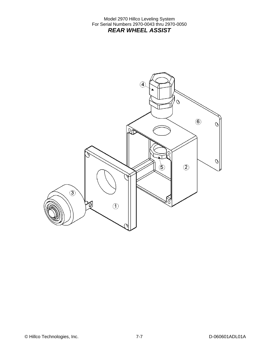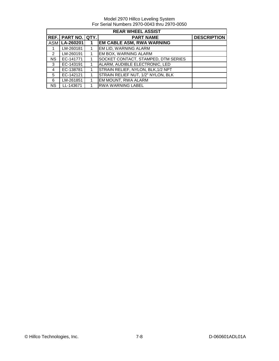|                | <b>REAR WHEEL ASSIST</b>  |   |                                     |                    |  |
|----------------|---------------------------|---|-------------------------------------|--------------------|--|
|                | <b>REF. PART NO. QTY.</b> |   | <b>PART NAME</b>                    | <b>DESCRIPTION</b> |  |
|                | ASM   LA-260201           | 1 | <b>EM CABLE ASM, RWA WARNING</b>    |                    |  |
|                | LM-260181                 |   | EM LID, WARNING ALARM               |                    |  |
| 2              | LM-260191                 |   | EM BOX, WARNING ALARM               |                    |  |
| <b>NS</b>      | EC-141771                 |   | SOCKET CONTACT, STAMPED, DTM SERIES |                    |  |
| 3              | EC-143191                 |   | ALARM, AUDIBLE ELECTRONIC, LED      |                    |  |
| $\overline{4}$ | EC-138781                 |   | STRAIN RELIEF, NYLON, BLK, 1/2 NPT  |                    |  |
| 5              | EC-142121                 |   | STRAIN RELIEF NUT, 1/2" NYLON, BLK  |                    |  |
| 6              | LM-261851                 |   | EM MOUNT, RWA ALARM                 |                    |  |
| <b>NS</b>      | LL-143671                 |   | <b>RWA WARNING LABEL</b>            |                    |  |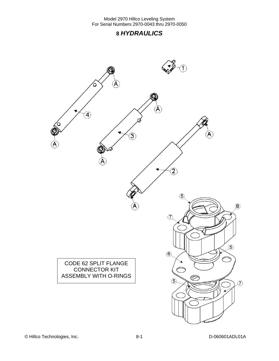# **8** *HYDRAULICS*

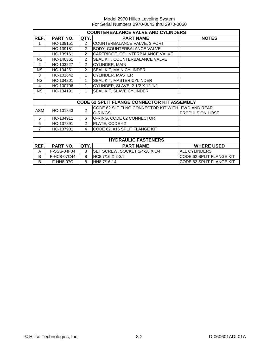|                | <b>COUNTERBALANCE VALVE AND CYLINDERS</b> |                |                                                    |                          |  |  |
|----------------|-------------------------------------------|----------------|----------------------------------------------------|--------------------------|--|--|
| REF.           | PART NO.                                  | QTY.           | <b>PART NAME</b>                                   | <b>NOTES</b>             |  |  |
| 1              | HC-139151                                 | $\overline{2}$ | COUNTERBALANCE VALVE, 3 PORT                       |                          |  |  |
|                | HC-139181                                 | $\overline{c}$ | BODY, COUNTERBALANCE VALVE                         |                          |  |  |
| ٠.             | HC-139161                                 | $\overline{2}$ | CARTRIDGE, COUNTERBALANCE VALVE                    |                          |  |  |
| <b>NS</b>      | HC-140361                                 | $\overline{2}$ | SEAL KIT, COUNTERBALANCE VALVE                     |                          |  |  |
| $\overline{2}$ | HC-103227                                 | $\overline{2}$ | CYLINDER, MAIN                                     |                          |  |  |
| <b>NS</b>      | HC-134251                                 | $\overline{2}$ | SEAL KIT, MAIN CYLINDER                            |                          |  |  |
| 3              | HC-101842                                 | 1              | CYLINDER, MASTER                                   |                          |  |  |
| <b>NS</b>      | HC-134201                                 | 1              | SEAL KIT, MASTER CYLINDER                          |                          |  |  |
| 4              | HC-100706                                 | 1              | CYLINDER, SLAVE, 2-1/2 X 12-1/2                    |                          |  |  |
| <b>NS</b>      | HC-134191                                 | 1              | SEAL KIT, SLAVE CYLINDER                           |                          |  |  |
|                |                                           |                |                                                    |                          |  |  |
|                |                                           |                | <b>CODE 62 SPLIT FLANGE CONNECTOR KIT ASSEMBLY</b> |                          |  |  |
| <b>ASM</b>     | HC-101843                                 | $\overline{2}$ | CODE 62 SLT FLNG CONNECTOR KIT WITH FWD AND REAR   |                          |  |  |
|                |                                           |                | O-RINGS                                            | <b>PROPULSION HOSE</b>   |  |  |
| 5              | HC-134911                                 | 6              | O-RING, CODE 62 CONNECTOR                          |                          |  |  |
| 6              | HC-137891                                 | $\overline{2}$ | PLATE, CODE 62                                     |                          |  |  |
| $\overline{7}$ | HC-137901                                 | 4              | CODE 62, #16 SPLIT FLANGE KIT                      |                          |  |  |
|                |                                           |                |                                                    |                          |  |  |
|                | <b>HYDRAULIC FASTENERS</b>                |                |                                                    |                          |  |  |
| REF.           | PART NO.                                  | QTY.           | <b>PART NAME</b>                                   | <b>WHERE USED</b>        |  |  |
| A              | F-SSS-04F04                               | 8              | SET SCREW, SOCKET 1/4-28 X 1/4                     | <b>ALL CYLINDERS</b>     |  |  |
| B              | F-HC8-07C44                               | 8              | HC8 7/16 X 2-3/4                                   | CODE 62 SPLIT FLANGE KIT |  |  |
| B              | <b>F-HN8-07C</b>                          | 8              | HN8 7/16-14                                        | CODE 62 SPLIT FLANGE KIT |  |  |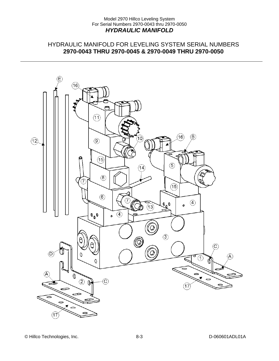### Model 2970 Hillco Leveling System For Serial Numbers 2970-0043 thru 2970-0050 *HYDRAULIC MANIFOLD*

### HYDRAULIC MANIFOLD FOR LEVELING SYSTEM SERIAL NUMBERS **2970-0043 THRU 2970-0045 & 2970-0049 THRU 2970-0050**

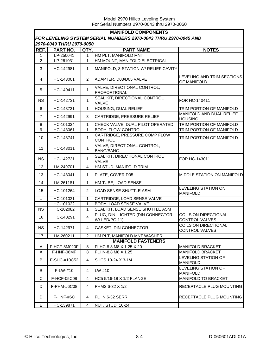| <b>MANIFOLD COMPONENTS</b>                                      |              |                |                                                    |                                               |  |  |
|-----------------------------------------------------------------|--------------|----------------|----------------------------------------------------|-----------------------------------------------|--|--|
| FOR LEVELING SYSTEM SERIAL NUMBERS 2970-0043 THRU 2970-0045 AND |              |                |                                                    |                                               |  |  |
| 2970-0049 THRU 2970-0050                                        |              |                |                                                    |                                               |  |  |
| REF.                                                            | PART NO.     | QTY.           | <b>PART NAME</b>                                   | <b>NOTES</b>                                  |  |  |
| $\mathbf{1}$                                                    | LP-250041    | 1              | HM PLT, MANIFOLD MNT                               |                                               |  |  |
| $\boldsymbol{2}$                                                | LP-261031    | 1              | HM MOUNT, MANIFOLD ELECTRICAL                      |                                               |  |  |
| 3                                                               | HC-142981    | $\mathbf{1}$   | MANIFOLD, 3-STATION W/ RELIEF CAVITY               |                                               |  |  |
| $\overline{4}$                                                  | HC-143001    | $\overline{2}$ | ADAPTER, D03/D05 VALVE                             | LEVELING AND TRIM SECTIONS<br>OF MANIFOLD     |  |  |
| 5                                                               | HC-140411    | $\mathbf{1}$   | VALVE, DIRECTIONAL CONTROL,<br><b>PROPORTIONAL</b> |                                               |  |  |
| <b>NS</b>                                                       | HC-142731    | $\mathbf{1}$   | SEAL KIT, DIRECTIONAL CONTROL<br>VALVE             | FOR HC-140411                                 |  |  |
| 6                                                               | HC-143731    | 1              | HOUSING, DUAL RELIEF                               | TRIM PORTION OF MANIFOLD                      |  |  |
| $\overline{7}$                                                  | HC-142991    | 3              | CARTRIDGE, PRESSURE RELIEF                         | MANIFOLD AND DUAL RELIEF<br><b>HOUSING</b>    |  |  |
| 8                                                               | HC-101034    | 1              | CHECK VALVE, DUAL PILOT OPERATED                   | TRIM PORTION OF MANIFOLD                      |  |  |
| 9                                                               | HC-143061    | 1              | <b>BODY, FLOW CONTROL</b>                          | TRIM PORTION OF MANIFOLD                      |  |  |
| 10                                                              | HC-143741    | 1              | CARTRIDGE, PRESSURE COMP FLOW<br><b>CONTROL</b>    | TRIM PORTION OF MANIFOLD                      |  |  |
| 11                                                              | HC-143011    | 1              | VALVE, DIRECTIONAL CONTROL,<br><b>BANG/BANG</b>    |                                               |  |  |
| <b>NS</b>                                                       | HC-142731    | 1              | SEAL KIT, DIRECTIONAL CONTROL<br>VALVE             | FOR HC-143011                                 |  |  |
| 12                                                              | LM-249701    | 4              | HM STUD, MANIFOLD TRIM                             |                                               |  |  |
| 13                                                              | HC-143041    | $\mathbf{1}$   | PLATE, COVER D05                                   | MIDDLE STATION ON MANIFOLD                    |  |  |
| 14                                                              | LM-261181    | 1              | HM TUBE, LOAD SENSE                                |                                               |  |  |
| 15                                                              | HC-101264    | $\overline{2}$ | LOAD SENSE SHUTTLE ASM                             | <b>LEVELING STATION ON</b><br><b>MANIFOLD</b> |  |  |
| $\ddotsc$                                                       | HC-101021    | $\mathbf{1}$   | CARTRIDGE, LOAD SENSE VALVE                        |                                               |  |  |
|                                                                 | HC-101022    | 1              | <b>BODY, LOAD SENSE VALVE</b>                      |                                               |  |  |
| <b>NS</b>                                                       | HC-102082    | 1              | SEAL KIT, LOAD SENSE SHUTTLE ASM                   |                                               |  |  |
| 16                                                              | HC-140291    | 4              | PLUG, DIN, LIGHTED (DIN CONNECTOR<br>W/ LED/PG-11) | COILS ON DIRECTIONAL<br><b>CONTROL VALVES</b> |  |  |
| <b>NS</b>                                                       | HC-142971    | 4              | GASKET, DIN CONNECTOR                              | COILS ON DIRECTIONAL<br>CONTROL VALVES        |  |  |
| 17                                                              | LM-260211    | $\overline{2}$ | HM PLT, MANIFOLD MNT WASHER                        |                                               |  |  |
|                                                                 |              |                | <b>MANIFOLD FASTENERS</b>                          |                                               |  |  |
| A                                                               | F-HCF-8M020F | 8              | FLHC-8.8 M8 X 1.25 X 20                            | <b>MANIFOLD BRACKET</b>                       |  |  |
| Α                                                               | F-HNF-08MF   | 8              | FLHN-8.8 M8 X 1.25                                 | <b>MANIFOLD BRACKET</b>                       |  |  |
| B                                                               | F-SHC-#10C52 | 4              | SHCS 10-24 X 3-1/4                                 | LEVELING STATION OF<br><b>MANIFOLD</b>        |  |  |
| B                                                               | F-LW-#10     | 4              | LW #10                                             | LEVELING STATION OF<br><b>MANIFOLD</b>        |  |  |
| C                                                               | F-HCF-05C08  | 4              | HC5 5/16-18 X 1/2 FLANGE                           | MANIFOLD TO BRACKET                           |  |  |
| D                                                               | F-PHM-#6C08  | 4              | PHMS 6-32 X 1/2                                    | RECEPTACLE PLUG MOUNTING                      |  |  |
| D                                                               | F-HNF-#6C    | 4              | FLHN 6-32 SERR                                     | RECEPTACLE PLUG MOUNTING                      |  |  |
| Е                                                               | HC-139871    | 4              | <b>NUT, STUD, 10-24</b>                            |                                               |  |  |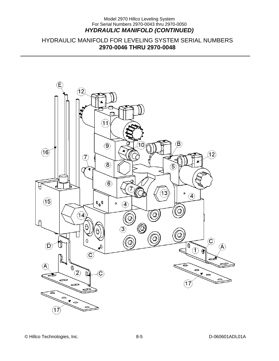### Model 2970 Hillco Leveling System For Serial Numbers 2970-0043 thru 2970-0050 *HYDRAULIC MANIFOLD (CONTINUED)*

### HYDRAULIC MANIFOLD FOR LEVELING SYSTEM SERIAL NUMBERS **2970-0046 THRU 2970-0048**

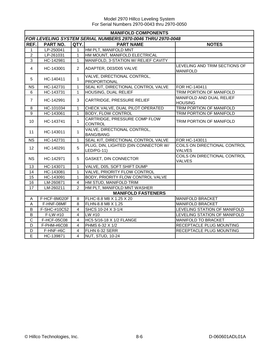Model 2970 Hillco Leveling System For Serial Numbers 2970-0043 thru 2970-0050

|                | <b>MANIFOLD COMPONENTS</b> |                         |                                                             |                                                  |  |  |
|----------------|----------------------------|-------------------------|-------------------------------------------------------------|--------------------------------------------------|--|--|
|                |                            |                         | FOR LEVELING SYSTEM SERIAL NUMBERS 2970-0046 THRU 2970-0048 |                                                  |  |  |
| REF.           | <b>PART NO.</b>            | QTY.                    | <b>PART NAME</b>                                            | <b>NOTES</b>                                     |  |  |
| 1              | LP-250041                  | 1                       | HM PLT, MANIFOLD MNT                                        |                                                  |  |  |
| $\overline{c}$ | LP-261031                  | 1                       | HM MOUNT, MANIFOLD ELECTRICAL                               |                                                  |  |  |
| $\overline{3}$ | HC-142981                  | $\mathbf{1}$            | MANIFOLD, 3-STATION W/ RELIEF CAVITY                        |                                                  |  |  |
| $\overline{4}$ | HC-143001                  | $\overline{2}$          | ADAPTER, D03/D05 VALVE                                      | LEVELING AND TRIM SECTIONS OF<br><b>MANIFOLD</b> |  |  |
| 5              | HC-140411                  | $\mathbf{1}$            | VALVE, DIRECTIONAL CONTROL,<br>PROPORTIONAL                 |                                                  |  |  |
| <b>NS</b>      | HC-142731                  | $\mathbf{1}$            | SEAL KIT, DIRECTIONAL CONTROL VALVE                         | FOR HC-140411                                    |  |  |
| 6              | HC-143731                  | $\mathbf{1}$            | HOUSING, DUAL RELIEF                                        | TRIM PORTION OF MANIFOLD                         |  |  |
| $\overline{7}$ | HC-142991                  | 3                       | CARTRIDGE, PRESSURE RELIEF                                  | MANIFOLD AND DUAL RELIEF<br><b>HOUSING</b>       |  |  |
| 8              | HC-101034                  | $\mathbf{1}$            | CHECK VALVE, DUAL PILOT OPERATED                            | TRIM PORTION OF MANIFOLD                         |  |  |
| $\overline{9}$ | HC-143061                  | $\mathbf{1}$            | <b>BODY, FLOW CONTROL</b>                                   | TRIM PORTION OF MANIFOLD                         |  |  |
| 10             | HC-143741                  | $\mathbf{1}$            | CARTRIDGE, PRESSURE COMP FLOW<br><b>CONTROL</b>             | TRIM PORTION OF MANIFOLD                         |  |  |
| 11             | HC-143011                  | $\mathbf{1}$            | VALVE, DIRECTIONAL CONTROL,<br><b>BANG/BANG</b>             |                                                  |  |  |
| <b>NS</b>      | HC-142731                  | $\mathbf{1}$            | SEAL KIT, DIRECTIONAL CONTROL VALVE                         | FOR HC-143011                                    |  |  |
| 12             | HC-140291                  | 5                       | PLUG, DIN, LIGHTED (DIN CONNECTOR W/<br>LED/PG-11)          | COILS ON DIRECTIONAL CONTROL<br><b>VALVES</b>    |  |  |
| <b>NS</b>      | HC-142971                  | 5                       | <b>GASKET, DIN CONNECTOR</b>                                | COILS ON DIRECTIONAL CONTROL<br><b>VALVES</b>    |  |  |
| 13             | HC-143071                  | $\mathbf{1}$            | VALVE, D05, SOFT SHIFT DUMP                                 |                                                  |  |  |
| 14             | HC-143081                  | $\mathbf{1}$            | VALVE, PRIORITY FLOW CONTROL                                |                                                  |  |  |
| 15             | HC-143091                  | $\mathbf{1}$            | BODY, PRIORITY FLOW CONTROL VALVE                           |                                                  |  |  |
| 16             | LM-260871                  | $\overline{4}$          | HM STUD, MANIFOLD TRIM                                      |                                                  |  |  |
| 17             | $LM-260211$                | $\overline{2}$          | HM PLT, MANIFOLD MNT WASHER                                 |                                                  |  |  |
|                |                            |                         | <b>MANIFOLD FASTENERS</b>                                   |                                                  |  |  |
| A              | F-HCF-8M020F               | 8                       | FLHC-8.8 M8 X 1.25 X 20                                     | <b>MANIFOLD BRACKET</b>                          |  |  |
| A              | F-HNF-08MF                 | 8                       | FLHN-8.8 M8 X 1.25                                          | MANIFOLD BRACKET                                 |  |  |
| B              | F-SHC-#10C52               | 4                       | SHCS 10-24 X 3-1/4                                          | LEVELING STATION OF MANIFOLD                     |  |  |
| B              | F-LW-#10                   | 4                       | LW #10                                                      | LEVELING STATION OF MANIFOLD                     |  |  |
| C              | F-HCF-05C08                | $\overline{\mathbf{4}}$ | HC5 5/16-18 X 1/2 FLANGE                                    | MANIFOLD TO BRACKET                              |  |  |
| D              | F-PHM-#6C08                | 4                       | PHMS 6-32 X 1/2                                             | RECEPTACLE PLUG MOUNTING                         |  |  |
| D              | F-HNF-#6C                  | $\overline{4}$          | FLHN 6-32 SERR                                              | RECEPTACLE PLUG MOUNTING                         |  |  |
| E              | HC-139871                  | $\overline{4}$          | NUT, STUD, 10-24                                            |                                                  |  |  |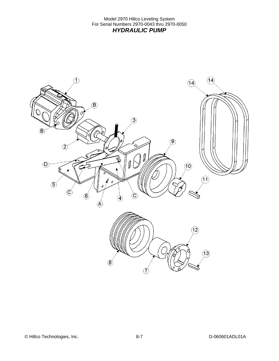Model 2970 Hillco Leveling System For Serial Numbers 2970-0043 thru 2970-0050 *HYDRAULIC PUMP* 

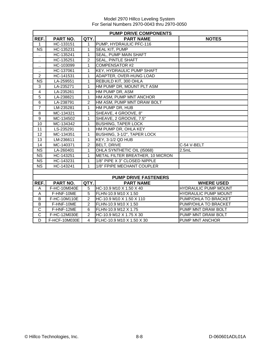|                        | <b>PUMP DRIVE COMPONENTS</b> |                |                                  |                             |  |  |
|------------------------|------------------------------|----------------|----------------------------------|-----------------------------|--|--|
| REF.                   | PART NO.                     | QTY.           | <b>PART NAME</b>                 | <b>NOTES</b>                |  |  |
| 1                      | HC-133151                    | 1              | PUMP, HYDRAULIC PFC-116          |                             |  |  |
| $\overline{\text{NS}}$ | HC-135231                    | 1              | SEAL KIT, PUMP                   |                             |  |  |
| $\ddot{\phantom{0}}$   | HC-135241                    | 1              | SEAL, PUMP MAIN SHAFT            |                             |  |  |
| $\ddotsc$              | HC-135251                    | $\overline{2}$ | <b>SEAL, PINTLE SHAFT</b>        |                             |  |  |
| $\ddot{\phantom{a}}$   | HC-103099                    | 1              | COMPENSATOR #2                   |                             |  |  |
| $\ddot{\phantom{a}}$   | HC-137061                    | $\mathbf{1}$   | <b>KEY, HYDRAULIC PUMP SHAFT</b> |                             |  |  |
| $\overline{2}$         | HC-141531                    | 1              | ADAPTER, OVER-HUNG LOAD          |                             |  |  |
| <b>NS</b>              | LA-259551                    | 1              | REBUILD KIT, 300 OHLA            |                             |  |  |
| 3                      | LA-235271                    | 1              | HM PUMP DR, MOUNT PLT ASM        |                             |  |  |
| $\overline{4}$         | LA-235261                    | 1              | HM PUMP DR, ASM                  |                             |  |  |
| $\overline{5}$         | LA-238821                    | 1              | HM ASM, PUMP MNT ANCHOR          |                             |  |  |
| $\overline{6}$         | LA-238791                    | 2              | HM ASM, PUMP MNT DRAW BOLT       |                             |  |  |
| $\overline{7}$         | LM-235281                    | 1              | HM PUMP DR, HUB                  |                             |  |  |
| $\overline{8}$         | MC-134321                    | 1              | SHEAVE, 4 GROOVE, 8"             |                             |  |  |
| $\overline{9}$         | MC-134502                    | 1              | SHEAVE, 2 GROOVE, 7.5"           |                             |  |  |
| 10                     | MC-134342                    | 1              | <b>BUSHING, TAPER LOCK</b>       |                             |  |  |
| 11                     | LS-235291                    | 1              | HM PUMP DR, OHLA KEY             |                             |  |  |
| 12                     | MC-134351                    | 1              | BUSHING, 3-1/2", TAPER LOCK      |                             |  |  |
| 13                     | LM-236611                    | $\mathbf{1}$   | KEY, 3-1/2 QD HUB                |                             |  |  |
| 14                     | MC-140371                    | $\overline{2}$ | <b>BELT, DRIVE</b>               | C-54 V-BELT                 |  |  |
| <b>NS</b>              | LA-260401                    | 1              | OHLA SYNTHETIC OIL (15068)       | 2.5mL                       |  |  |
| <b>NS</b>              | HC-143251                    | 1              | METAL FILTER BREATHER, 10 MICRON |                             |  |  |
| <b>NS</b>              | HC-143231                    | $\mathbf{1}$   | 1/8" PIPE X 3" CLOSED NIPPLE     |                             |  |  |
| <b>NS</b>              | HC-143241                    | 1              | 1/8" FPIPE MECHANT COUPLER       |                             |  |  |
|                        |                              |                |                                  |                             |  |  |
|                        |                              |                | <b>PUMP DRIVE FASTENERS</b>      |                             |  |  |
| REF.                   | PART NO.                     | QTY.           | <b>PART NAME</b>                 | <b>WHERE USED</b>           |  |  |
| Α                      | F-HC-10M040E                 | 5              | HC-10.9 M10 X 1.50 X 40          | <b>HYDRAULIC PUMP MOUNT</b> |  |  |
| $\mathsf A$            | F-HNF-10ME                   | 5              | FLHN-10.9 M10 X 1.50             | <b>HYDRAULIC PUMP MOUNT</b> |  |  |
| B                      | F-HC-10M110E                 | $\overline{2}$ | HC-10.9 M10 X 1.50 X 110         | PUMP/OHLA TO BRACKET        |  |  |
| B                      | F-HNF-10ME                   | $\overline{2}$ | FLHN-10.9 M10 X 1.50             | PUMP/OHLA TO BRACKET        |  |  |
| $\overline{C}$         | F-HNF-12ME                   | 6              | FLHN-10.9 M12 X 1.75             | PUMP MNT DRAW BOLT          |  |  |
| C                      | F-HC-12M030E                 | $\overline{2}$ | HC-10.9 M12 X 1.75 X 30          | PUMP MNT DRAW BOLT          |  |  |
| D                      | F-HCF-10M030E                | 4              | FLHC-10.9 M10 X 1.50 X 30        | PUMP MNT ANCHOR             |  |  |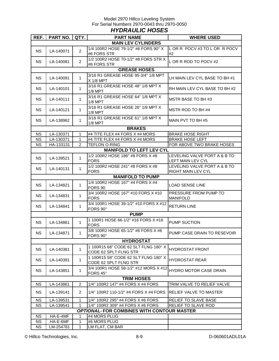### Model 2970 Hillco Leveling System For Serial Numbers 2970-0043 thru 2970-0050 *HYDRAULIC HOSES*

| REF.      | PART NO.  | QTY.           | <b>PART NAME</b>                                              | <b>WHERE USED</b>                                  |
|-----------|-----------|----------------|---------------------------------------------------------------|----------------------------------------------------|
|           |           |                | <b>MAIN LEV CYLINDERS</b>                                     |                                                    |
| <b>NS</b> | LA-140071 | $\overline{2}$ | 1/4 100R2 HOSE 79-1/2" #6 FORS 90° X<br>#6 FORS STR           | LOR R POCV #3 TO LOR R POCV<br>#2                  |
| NS.       | LA-140081 | $\overline{2}$ | 1/2 100R2 HOSE 70-1/2" #8 FORS STR X<br>#8 FORS STR           | L OR R ROD TO POCV #2                              |
|           |           |                | <b>GREASE HOSES</b>                                           |                                                    |
| <b>NS</b> | LA-140091 | $\mathbf{1}$   | 3/16 R1 GREASE HOSE 95-3/4" 1/8 MPT<br>X 1/8 MPT              | LH MAIN LEV CYL BASE TO BH #1                      |
| <b>NS</b> | LA-140101 | $\mathbf{1}$   | 3/16 R1 GREASE HOSE 48" 1/8 MPT X<br>$1/8$ MPT                | RH MAIN LEV CYL BASE TO BH #2                      |
| <b>NS</b> | LA-140111 | $\mathbf 1$    | 3/16 R1 GREASE HOSE 64" 1/8 MPT X<br>$1/8$ MPT                | MSTR BASE TO BH #3                                 |
| <b>NS</b> | LA-140121 | $\mathbf 1$    | 3/16 R1 GREASE HOSE 26" 1/8 MPT X<br>$1/8$ MPT                | MSTR ROD TO BH #4                                  |
| <b>NS</b> | LA-138962 | $\mathbf{1}$   | 3/16 R1 GREASE HOSE 61" 1/8 MPT X<br>1/8 MPT                  | MAIN PVT TO BH #5                                  |
|           |           |                | <b>BRAKES</b>                                                 |                                                    |
| <b>NS</b> | LA-130371 | 1              | #4 TITE FLEX #4 FORS X #4 MORS                                | <b>BRAKE HOSE RIGHT</b>                            |
| <b>NS</b> | LA-130371 | $\mathbf{1}$   | #4 TITE FLEX #4 FORS X #4 MORS                                | <b>BRAKE HOSE LEFT</b>                             |
| <b>NS</b> | HA-133131 | 2              | <b>TEFLON O-RING</b>                                          | FOR ABOVE TWO BRAKE HOSES                          |
|           |           |                | <b>MANIFOLD TO LEFT LEV CYL</b>                               |                                                    |
| <b>NS</b> | LA-139521 | $\mathbf{1}$   | 1/2 100R2 HOSE 186" #8 FORS X #8<br><b>FORS</b>               | LEVELING VALVE PORT A & B TO<br>LEFT MAIN LEV CYL  |
| <b>NS</b> | LA-140131 | $\mathbf{1}$   | 1/2 100R2 HOSE 241" #8 FORS X #8<br><b>FORS</b>               | LEVELING VALVE PORT A & B TO<br>RIGHT MAIN LEV CYL |
|           |           |                | <b>MANIFOLD TO PUMP</b>                                       |                                                    |
| <b>NS</b> | LA-134821 | $\mathbf{1}$   | 1/4 100R2 HOSE 167" #4 FORS X #4<br>FORS <sub>90</sub>        | <b>LOAD SENSE LINE</b>                             |
| NS.       | LA-134831 | 1              | 3/4 100R2 HOSE 167" #10 FORS X #10<br><b>FORS</b>             | PRESSURE FROM PUMP TO<br><b>MANIFOLD</b>           |
| <b>NS</b> | LA-134841 | $\mathbf{1}$   | 3/4 100R1 HOSE 39-1/2" #10 FORS X #12<br>FORS 90°             | <b>RETURN LINE</b>                                 |
|           |           |                | <b>PUMP</b>                                                   |                                                    |
| <b>NS</b> | LA-134861 | $\mathbf{1}$   | 1 100R1 HOSE 66-1/2" #16 FORS X #16<br><b>FORS</b>            | PUMP SUCTION                                       |
| <b>NS</b> | LA-134871 | $\mathbf{1}$   | 3/8 100R2 HOSE 65-1/2" #6 FORS X #6<br>FORS 90°               | PUMP CASE DRAIN TO RESEVOIR                        |
|           |           |                | <b>HYDROSTAT</b>                                              |                                                    |
| <b>NS</b> | LA-140381 | $\mathbf{1}$   | 1 100R15 68" CODE 62 SLT FLNG 180° X<br>CODE 62 SPLT FLNG STR | <b>HYDROSTAT FRONT</b>                             |
| <b>NS</b> | LA-140391 | $\mathbf 1$    | 1 100R15 58" CODE 62 SLT FLNG 180° X<br>CODE 62 SPLT FLNG STR | <b>HYDROSTAT REAR</b>                              |
| <b>NS</b> | LA-143851 | $\mathbf{1}$   | 3/4 100R1 HOSE 58-1/2" #12 MORS X #12<br>FORS 45°             | HYDRO MOTOR CASE DRAIN                             |
|           |           |                | <b>TRIM HOSES</b>                                             |                                                    |
| <b>NS</b> | LA-143861 | 2              | 1/4" 100R2 147" #4 FORS X #4 FORS                             | TRIM VALVE TO RELIEF VALVE                         |
| <b>NS</b> | LA-139141 | $\overline{2}$ | 1/4" 100R2 110-1/2" #4 FORS X #4 FORS                         | <b>RELIEF VALVE TO MASTER</b>                      |
| <b>NS</b> | LA-139531 | $\mathbf{1}$   | 1/4" 100R2 295" #4 FORS X #6 FORS                             | RELIEF TO SLAVE BASE                               |
| <b>NS</b> | LA-139541 | $\mathbf{1}$   | 1/4" 100R2 309" #4 FORS X #6 FORS                             | RELIEF TO SLAVE ROD                                |
|           |           |                | <b>OPTIONAL-FOR COMBINES WITH CONTOUR MASTER</b>              |                                                    |
| <b>NS</b> | HA-E-4MF  | $\mathbf{1}$   | #4 MORS PLUG                                                  |                                                    |
| <b>NS</b> | HA-E-6MF  | $\mathbf{1}$   | #6 MORS PLUG                                                  |                                                    |
| <b>NS</b> | LM-254781 | $\mathbf{1}$   | LM FLAT, CM BAR                                               |                                                    |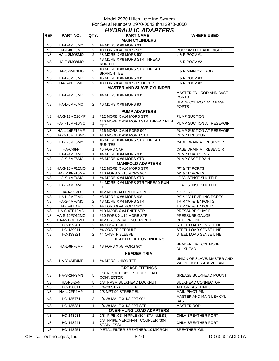|           | <b>HYDRAULIC ADAPTERS</b> |                |                                                   |                                                     |  |  |  |
|-----------|---------------------------|----------------|---------------------------------------------------|-----------------------------------------------------|--|--|--|
| REF.      | PART NO.                  | QTY.           | <b>PART NAME</b>                                  | <b>WHERE USED</b>                                   |  |  |  |
|           |                           |                | <b>MAIN CYLINDERS</b>                             |                                                     |  |  |  |
| NS.       | HA-L-4MF6MO               | 2              | #4 MORS X #6 MORB 90°                             |                                                     |  |  |  |
| NS.       | HA-L-8FF8MF               | 2              | #8 FORS X #8 MORS 90°                             | POCV #2 LEFT AND RIGHT                              |  |  |  |
| NS.       | HA-L-8MO8MO               | 2              | #8 MORB X #8 MORB 90°                             | L & R POCV #1                                       |  |  |  |
| <b>NS</b> | HA-T-8MO8MO               | $\overline{2}$ | #8 MORB X #8 MORS STR THREAD<br><b>RUN TEE</b>    | L & R POCV #2                                       |  |  |  |
| NS.       | HA-Q-8MF8MO               | $\overline{2}$ | #8 MORB X #8 MORS STR THREAD<br><b>BRANCH TEE</b> | L & R MAIN CYL ROD                                  |  |  |  |
| <b>NS</b> | HA-L-6MF6MO               | 2              | #6 MORB X #6 MORS 90°                             | L & R POCV #3                                       |  |  |  |
| <b>NS</b> | HA-S-8FF6MF               | 2              | #8 FORS X #6 MORS REDUCER                         | L & R POCV #2                                       |  |  |  |
|           |                           |                | <b>MASTER AND SLAVE CYLINDER</b>                  |                                                     |  |  |  |
| NS.       | HA-L-4MF6MO               | 2              | #4 MORS $X$ #6 MORB 90 $^{\circ}$                 | MASTER CYL ROD AND BASE<br><b>PORTS</b>             |  |  |  |
| NS.       | HA-L-6MF6MO               | 2              | #6 MORS X #6 MORB 90 $^{\circ}$                   | SLAVE CYL ROD AND BASE<br><b>PORTS</b>              |  |  |  |
|           |                           |                | <b>PUMP ADAPTERS</b>                              |                                                     |  |  |  |
| NS.       | HA-S-12MO16MF             | 1              | #12 MORB X #16 MORS STR                           | PUMP SUCTION                                        |  |  |  |
| <b>NS</b> | HA-T-16MF16MO             | $\mathbf{1}$   | #16 MORB X #16 MORS STR THREAD RUN<br><b>TEE</b>  | PUMP SUCTION AT RESEVOIR                            |  |  |  |
| NS.       | HA-L-16FF16MF             | $\mathbf{1}$   | #16 MORS X #16 FORS 90°                           | PUMP SUCTION AT RESEVOIR                            |  |  |  |
| NS.       | HA-S-10MF10MO             | 1              | #10 MORB X #10 MORS STR                           | <b>PUMP PRESSURE</b>                                |  |  |  |
| NS.       | HA-T-6MF6MO               | $\mathbf{1}$   | #6 MORB X #6 MORS STR THREAD<br><b>RUN TEE</b>    | CASE DRAIN AT RESEVOIR                              |  |  |  |
| NS.       | HA-C-6FF                  | 1              | #6 FORS CAP                                       | CASE DRAIN AT RESEVOIR                              |  |  |  |
| NS.       | HA-L-4MF4MO               | 1              | #4 MORB X #4 MORS 90°                             | PUMP LOAD SENSE                                     |  |  |  |
| <b>NS</b> | HA-S-6MF6MO               | $\mathbf{1}$   | #6 MORB X #6 MORS STR                             | PUMP CASE DRAIN                                     |  |  |  |
|           |                           |                | <b>MANIFOLD ADAPTERS</b>                          |                                                     |  |  |  |
| <b>NS</b> | <b>HA-S-10MF12MO</b>      | 2              | #12 MORB X #10 MORS STR                           | "P" & "T" PORTS                                     |  |  |  |
| NS.       | HA-L-10FF10MF             | 1              | #10 FORS X #10 MORS 90°                           | "P" & "T" PORTS                                     |  |  |  |
| NS.       | HA-S-4MF4MO               | 1              | #4 MORB X #4 MORS STR                             | LOAD SENSE SHUTTLE                                  |  |  |  |
| <b>NS</b> | HA-T-4MF4MO               | $\mathbf{1}$   | #4 MORB X #4 MORS STR THREAD RUN<br><b>TEE</b>    | <b>LOAD SENSE SHUTTLE</b>                           |  |  |  |
| NS.       | HA-A-12MO                 | 1              | #12 MORB ALLEN HEAD PLUG                          | "T" PORT                                            |  |  |  |
| ΝS        | HA-L-8MF8MO               | 2              | #8 MORB X #8 MORS 90°                             | "A" & "B" LEVELING PORTS                            |  |  |  |
| <b>NS</b> | HA-S-4MF8MO               | 2              | #8 MORB X #4 MORS STR                             | TRIM "A" & "B" PORTS                                |  |  |  |
| <b>NS</b> | HA-L-4FF4MF               | 2              | #4 FORS X #4 MORS 90°                             | TRIM "A" & "B" PORTS                                |  |  |  |
| <b>NS</b> | HA-S-4FP12MO              | 1              | #10 MORB X #4 FNPT STR                            | PRESSURE GUAGE                                      |  |  |  |
| <b>NS</b> | HA-S-10FO12MO             | 1              | #10 FORB X #12 MORB STR                           | PRESSURE GAUGE                                      |  |  |  |
| <b>NS</b> | HA-M-12MF12FF             | 1              | #12 ORS SWIVEL NUT RUN TEE                        | <b>RETURN LINE</b>                                  |  |  |  |
| NS.       | HC-139901                 | 2              | #4 ORS-TF NUT                                     | STEEL LOAD SENSE LINE                               |  |  |  |
| <b>NS</b> | HC-139911                 | 2              | #4 ORS-TF FERRULE                                 | STEEL LOAD SENSE LINE                               |  |  |  |
| NS.       | HC-139921                 | 2              | #4 ORS-TF SLEEVE                                  | STEEL LOAD SENSE LINE                               |  |  |  |
|           |                           |                | <b>HEADER LIFT CYLINDERS</b>                      |                                                     |  |  |  |
| <b>NS</b> | HA-L-8FF8MF               | $\mathbf{1}$   | #8 FORS X #8 MORS 90°                             | HEADER LIFT CYL HOSE<br><b>BULKHEAD</b>             |  |  |  |
|           |                           |                | <b>HEADER TRIM</b>                                |                                                     |  |  |  |
| <b>NS</b> | HA-Y-4MF4MF               | $\mathbf{1}$   | #4 MORS UNION TEE                                 | UNION OF SLAVE, MASTER AND<br>VALVE HOSES ABOVE FAN |  |  |  |
|           |                           |                | <b>GREASE FITTINGS</b>                            |                                                     |  |  |  |
| <b>NS</b> | HA-S-2FP2MN               | 5              | 1/8" NPSM X 1/8" FPT BULKHEAD<br>CONNECTOR        | GREASE BULKHEAD MOUNT                               |  |  |  |
| NS.       | HA-NJ-2FN                 | 5              | 1/8" NPSM BULKHEAD LOCKNUT                        | <b>BULKHEAD CONNECTOR</b>                           |  |  |  |
| NS.       | HC-138011                 | 5              | 1/4-28 STRAIGHT ZERK                              | ALL GREASE LINES                                    |  |  |  |
| <b>NS</b> | HA-L-2FP2MP               | 1              | 1/8 MPT 90 STREET EL                              | <b>MAIN PIVOT PIN</b>                               |  |  |  |
| NS.       | HC-135771                 | 3              | 1/4-28 MALE X 1/8 FPT 90°                         | MASTER AND MAIN LEV CYL<br>BASE                     |  |  |  |
| <b>NS</b> | HC-135881                 | 1              | 1/4-28 MALE X 1/8 FPT STR                         | <b>MASTER ROD</b>                                   |  |  |  |
|           |                           |                | <b>OVER-HUNG LOAD ADAPTERS</b>                    |                                                     |  |  |  |
| <b>NS</b> | HC-143231                 | 1              | 1/8" PIPE X 3" NIPPLE (304 STAINLESS)             | OHLA BREATHER PORT                                  |  |  |  |
|           |                           |                | 1/8" FPIPE MERCHANT COUPLER (304                  |                                                     |  |  |  |
| <b>NS</b> | HC-143241                 | $\mathbf{1}$   | STAINLESS)                                        | OHLA BREATHER PORT                                  |  |  |  |
| <b>NS</b> | HC-143251                 | $\mathbf{1}$   | METAL FILTER BREATHER, 10 MICRON                  | BREATHER, OIL                                       |  |  |  |

© Hillco Technologies, Inc. 8-10 D-060601ADL01A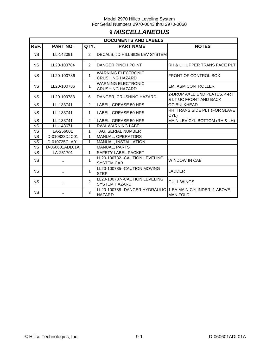# **9** *MISCELLANEOUS*

|           | <b>DOCUMENTS AND LABELS</b> |                |                                                       |                                                        |  |  |
|-----------|-----------------------------|----------------|-------------------------------------------------------|--------------------------------------------------------|--|--|
| REF.      | <b>PART NO.</b>             | QTY.           | <b>PART NAME</b>                                      | <b>NOTES</b>                                           |  |  |
| <b>NS</b> | LL-142091                   | $\overline{2}$ | DECALS, JD HILLSIDE LEV SYSTEM                        |                                                        |  |  |
| <b>NS</b> | LL20-100784                 | $\overline{2}$ | <b>DANGER PINCH POINT</b>                             | RH & LH UPPER TRANS FACE PLT                           |  |  |
| <b>NS</b> | LL20-100786                 | 1              | <b>WARNING ELECTRONIC</b><br><b>CRUSHING HAZARD</b>   | FRONT OF CONTROL BOX                                   |  |  |
| <b>NS</b> | LL20-100786                 | 1              | <b>WARNING ELECTRONIC</b><br><b>CRUSHING HAZARD</b>   | <b>EM, ASM CONTROLLER</b>                              |  |  |
| <b>NS</b> | LL20-100783                 | 6              | DANGER, CRUSHING HAZARD                               | 2-DROP AXLE END PLATES, 4-RT<br>& LT UC FRONT AND BACK |  |  |
| <b>NS</b> | LL-133741                   | $\overline{2}$ | LABEL, GREASE 50 HRS                                  | OC BULKHEAD                                            |  |  |
| <b>NS</b> | LL-133741                   | $\mathbf{1}$   | LABEL, GREASE 50 HRS                                  | RH TRANS SIDE PLT (FOR SLAVE<br>CYL)                   |  |  |
| <b>NS</b> | LL-133741                   | $\overline{2}$ | LABEL, GREASE 50 HRS                                  | MAIN LEV CYL BOTTOM (RH & LH)                          |  |  |
| <b>NS</b> | LL-143671                   | 1              | <b>RWA WARNING LABEL</b>                              |                                                        |  |  |
| <b>NS</b> | LA-256001                   | 1              | <b>TAG, SERIAL NUMBER</b>                             |                                                        |  |  |
| NS.       | D-010823DJC01               | 1              | <b>MANUAL, OPERATORS</b>                              |                                                        |  |  |
| <b>NS</b> | D-010725CLA01               | 1              | MANUAL, INSTALLATION                                  |                                                        |  |  |
| <b>NS</b> | D-060601ADL01A              |                | <b>MANUAL, PARTS</b>                                  |                                                        |  |  |
| <b>NS</b> | LA-251701                   | $\mathbf{1}$   | <b>SAFETY LABEL PACKET</b>                            |                                                        |  |  |
| <b>NS</b> |                             | 1              | LL20-100782--CAUTION LEVELING<br><b>SYSTEM CAB</b>    | <b>WINDOW IN CAB</b>                                   |  |  |
| <b>NS</b> |                             | 1              | LL20-100785--CAUTION MOVING<br><b>STEP</b>            | LADDER                                                 |  |  |
| <b>NS</b> | $\ddotsc$                   | $\overline{2}$ | LL20-100787--CAUTION LEVELING<br><b>SYSTEM HAZARD</b> | <b>GULL WINGS</b>                                      |  |  |
| <b>NS</b> |                             | 3              | LL20-100788--DANGER HYDRAULIC<br><b>HAZARD</b>        | 1 EA MAIN CYLINDER; 1 ABOVE<br><b>MANIFOLD</b>         |  |  |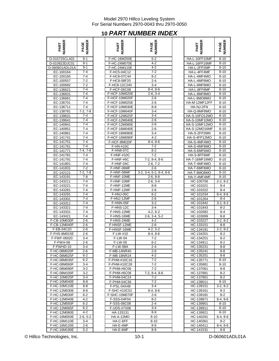# **10** *PART NUMBER INDEX*

| <b>IMBER</b><br>PART         | <b>IBER</b><br><b>AGE</b> |  |
|------------------------------|---------------------------|--|
| D-010725CLA01                | $9 - 1$                   |  |
| D-010823DJC01                | $9 - 1$                   |  |
| D-060601ADL01A               | $9 - 1$                   |  |
|                              |                           |  |
| EC-100164                    | $7-4$                     |  |
| EC<br>-100165                | $7 - 4$                   |  |
| EC-100557                    | $7 - 2$                   |  |
| -100692                      | 7-2                       |  |
| EC-136621                    | $7-4$                     |  |
| EС<br>-136631                | $7 - 4$                   |  |
| Fſ<br>-136661                | 7-4                       |  |
| EC-136701                    | 7-4                       |  |
| EС<br>-136711                | 7-4                       |  |
| EC-138781                    | $7-2, 7-8$                |  |
| EC-139631                    | 7-4                       |  |
| EC<br>-139641                | 7-4                       |  |
|                              |                           |  |
| EC-<br>140841                | $7 - 4$                   |  |
| EC-140851                    | 7-4                       |  |
| EC-140861                    | $7-4$                     |  |
| EC-141741                    | 7-4                       |  |
| 141751-<br>EC                | 7-4                       |  |
| EC-141761                    | 7-4                       |  |
| EC<br>-141771                | $7-4, 7-8$                |  |
| EC-141781                    | $7 - 4$                   |  |
| EC-141791                    | 7-4                       |  |
| -141801<br>EC                | $7 - 4$                   |  |
| EC-141831                    | $7 - 2$                   |  |
| EC<br>-142121                | 2, 7-8<br>7.              |  |
| EC-143191                    | $7-8$                     |  |
| EC-143211                    | $7 - 4$                   |  |
| EC-<br>43221                 | $7 - 4$                   |  |
|                              |                           |  |
| EC-143281                    | 7-4                       |  |
| EС<br>3291                   | 7-4                       |  |
| EС<br>14<br>3301             | 7-4                       |  |
| EС                           | 7-4                       |  |
| ЕC<br>3321                   | 7-4                       |  |
| -143331<br>EC                | 7-4                       |  |
| 3421                         | 7-4                       |  |
| F-C <sub>B</sub><br>0M030F   | $2-6$                     |  |
| 2M040F                       | 2-6                       |  |
| 04C20                        | $2-6$                     |  |
| F-FHS-8M015E                 | 2-6                       |  |
| F-FWF-06020                  | $3 - 4$                   |  |
| $\overline{\text{F-FWH-08}}$ | $2-6$                     |  |
| F-FWHD-10                    | 3-4                       |  |
| F-HC-06M020F                 | 2-6                       |  |
| F-HC-08M025F                 | 6-2                       |  |
| F-HC-08M035F                 | 6-2                       |  |
| F-HC-08M060F                 | $3 - 4$                   |  |
| F-HC-08M090F                 | 3-2                       |  |
| F-HC-08M100F                 | $3-2$                     |  |
| F-HC-10M025F                 | 3-4                       |  |
| F-HC-10M040E                 |                           |  |
| F-HC-10M110E                 | 8-8                       |  |
|                              | 8-8                       |  |
| F-HC-12M030E<br>F-HC-12M030F | $8 - 8$                   |  |
|                              | $6 - 2$                   |  |
| F-HC-12M040E                 | $4 - 2$                   |  |
| F-HC-12M050F                 | $6 - 2$                   |  |
| F-HC-12M065F                 | 6-2                       |  |
| F-HC-12M080E                 | $4 - 2$                   |  |
| F-HC-16M050E                 | $2-6, 5-2$                |  |
| F-HC-16M110E                 | 3-4                       |  |
| F-HC-16M120E                 | $2-6$                     |  |
| F-HC-16M190F                 | 5-2                       |  |

| <b>NUMBER</b><br>PART        | <b>NUMBER</b><br>PAGE | NUMBER<br>PART               | <b>NUMBER</b><br>PAGE      | NUMBER<br>PART               | <b>NUMBER</b><br>PAGE     |
|------------------------------|-----------------------|------------------------------|----------------------------|------------------------------|---------------------------|
| D-010725CLA01                | $9 - 1$               | F-HC-16M250E                 | $5 - 2$                    | HA-L-10FF10MF                | $8 - 10$                  |
| D-010823DJC01                | $9 - 1$               | F-HC-24M070E                 | $4 - 2$                    | HA-L-16FF16MF                | $8 - 10$                  |
| D-060601ADL01A               | $9 - 1$               | F-HC-24M110E                 | 4-2                        | HA-L-2FP2MP                  | $8 - 10$                  |
| EC-100164                    | $7 - 4$               | F-HC5-04C12                  | $7 - 2$                    | HA-L-4FF4MF                  | $8 - 10$                  |
| EC-100165                    | $7 - 4$               | F-HC8-07C44                  | $8 - 2$                    | HA-L-4MF4MO                  | $8 - 10$                  |
| EC-100557                    | $7 - 2$               | F-HC8-08F20                  | $2 - 4$                    | HA-L-4MF6MO                  | $8 - 10$                  |
| EC-100692                    | $7 - 2$<br>$7 - 4$    | F-HC8-12C240                 | $3 - 4$                    | HA-L-6MF6MO                  | $8 - 10$                  |
| EC-136621<br>EC-136631       | $7 - 4$               | F-HCF-05C08<br>F-HCF-10M020E | $8-4, 8-6$<br>$2-6, 3-4$   | HA-L-8FF8MF<br>HA-L-8MF8MO   | $8 - 10$<br>$8 - 10$      |
| EC-136661                    | 7-4                   | F-HCF-10M020F                | $2 - 6$                    | HA-L-8MO8MO                  | $8 - 10$                  |
| EC-136701                    | $7 - 4$               | F-HCF-10M025E                | $2 - 6$                    | HA-M-12MF12FF                | $8 - 10$                  |
| EC-136711                    | $7 - 4$               | F-HCF-10M030E                | $8 - 8$                    | HA-NJ-2FN                    | $8 - 10$                  |
| EC-138781                    | $7-2, 7-8$            | F-HCF-10M040F                | $3 - 4$                    | HA-Q-8MF8MO                  | $8 - 10$                  |
| EC-139631                    | $7 - 4$               | F-HCF-12M025F                | $3 - 4$                    | <b>HA-S-10FO12MO</b>         | $8 - 10$                  |
| EC-139641                    | 7-4                   | F-HCF-12M040E                | $2 - 6$                    | HA-S-10MF10MO                | $8 - 10$                  |
| EC-140841                    | $7 - 4$               | F-HCF-12M080E                | $2 - 6$                    | HA-S-10MF12MO                | $8 - 10$                  |
| EC-140851                    | $7 - 4$               | F-HCF-16M040E                | $2 - 6$                    | HA-S-12MO16MF                | $8 - 10$                  |
| EC-140861                    | $7 - 4$               | F-HCF-16M080E                | $3 - 4$                    | HA-S-2FP2MN                  | $8 - 10$                  |
| EC-141741                    | $7 - 4$               | F-HCF-16M090F                | $4 - 2$                    | HA-S-4FP12MO                 | $8 - 10$                  |
| EC-141751                    | 7-4                   | F-HCF-8M020F                 | $8-4, 8-6$                 | HA-S-4MF4MO                  | $8 - 10$                  |
| EC-141761                    | 7-4                   | F-HN-#10C                    | $7 - 2$                    | HA-S-4MF8MO                  | $8 - 10$                  |
| EC-141771                    | $7-4, 7-8$            | F-HN8-07C                    | $8 - 2$                    | HA-S-6MF6MO                  | $8 - 10$                  |
| EC-141781<br>EC-141791       | $7 - 4$<br>$7 - 4$    | F-HNF-#10C                   | $7 - 2$<br>$7-2, 8-4, 8-6$ | HA-S-8FF6MF<br>HA-T-16MF16MO | $8 - 10$                  |
| EC-141801                    | $7 - 4$               | F-HNF-#6C<br>F-HNF-04C       | $2-6, 7-2$                 | HA-T-4MF4MO                  | $8 - 10$<br>$8 - 10$      |
| EC-141831                    | 7-2                   | F-HNF-06MF                   | $2 - 6$                    | HA-T-6MF6MO                  | $8 - 10$                  |
| EC-142121                    | $7-2, 7-8$            | F-HNF-08MF                   | 3-2, 3-4, 6-2, 8-4, 8-6    | HA-T-8MO8MO                  | $8 - 10$                  |
| EC-143191                    | $7-8$                 | F-HNF-10ME                   | $2-6, 8-8$                 | HA-Y-4MF4MF                  | $8 - 10$                  |
| EC-143211                    | $7 - 4$               | F-HNF-10MF                   | $2-6, 3-4$                 | HC-100706                    | $2-2, 8-2$                |
| EC-143221                    | $7 - 4$               | F-HNF-12ME                   | $8 - 8$                    | HC-101021                    | $8 - 4$                   |
| EC-143281                    | 7-4                   | F-HNF-12MF                   | $2 - 6$                    | HC-101022                    | $8 - 4$                   |
| EC-143291                    | $7 - 4$               | F-HNJ-05C                    | $6 - 2$                    | HC-101034                    | $8-4, 8-6$                |
| EC-143301                    | $7 - 4$               | F-HNJ-12MF                   | 2-6                        | HC-101264                    | $8 - 4$                   |
| EC-143311                    | $7 - 4$               | F-HNN-05F                    | $3 - 2$                    | HC-101842                    | $3-2, 8-2$                |
| EC-143321                    | 7-4                   | F-HNS-12C                    | $3 - 4$                    | HC-101843                    | $8 - 2$                   |
| EC-143331                    | 7-4                   | F-HNS-12ME                   | $4-2, 6-2$                 | HC-102082                    | $8 - 4$                   |
| EC-143421                    | $7 - 4$               | F-HNS-16ME                   | $2-6, 3-4, 5-2$            | HC-103099                    | $8 - 8$                   |
| F-CB-10M030F                 | 2-6                   | F-HNS-24ME                   | $4 - 2$                    | HC-103227                    | $3-2, 8-2$                |
| F-CB-12M040F                 | $2 - 6$               | F-HNSF-12ME<br>F-HNSF-16ME   | $2 - 6$                    | HC-133151                    | $8 - 8$<br>$2 - 2, 8 - 2$ |
| F-EB-04C20<br>F-FHS-8M015E   | $2 - 6$<br>$2 - 6$    | F-LW-#10                     | $4-2, 5-2$<br>$8-4, 8-6$   | HC-134191<br>HC-134201       | $8 - 2$                   |
| F-FWF-06020                  | $3 - 4$               | F-LW-04                      | $7 - 2$                    | HC-134251                    | $8 - 2$                   |
| F-FWH-08                     | 2-6                   | <b>F-LW-05</b>               | 6-2                        | HC-134911                    | 8-2                       |
| F-FWHD-10                    | $3 - 4$               | F-LW-08A                     | $2 - 4$                    | HC-135231                    | 8-8                       |
| F-HC-06M020F                 | 2-6                   | F-MB-14NR40                  | 2-6                        | HC-135241                    | 8-8                       |
| F-HC-08M025F                 | $6 - 2$               | <b>F-MB-18NR24</b>           | $4 - 2$                    | HC-135251                    | 8-8                       |
| F-HC-08M035F                 | $6 - 2$               | F-PHM-#10C16                 | $7 - 2$                    | HC-135771                    | $8 - 10$                  |
| F-HC-08M060F                 | 3-4                   | F-PHM-#10C28                 | 7-2                        | HC-135881                    | $8 - 10$                  |
| F-HC-08M090F                 | $3 - 2$               | F-PHM-#6C06                  | $7 - 2$                    | HC-137061                    | 8-8                       |
| F-HC-08M100F                 | $3 - 2$               | F-PHM-#6C08                  | 7-2, 8-4, 8-6              | HC-137891                    | $8 - 2$                   |
| F-HC-10M025F                 | $3 - 4$               | F-PHM-04C24                  | $7-2$                      | HC-137901                    | $8-2$                     |
| F-HC-10M040E                 | $8 - 8$               | F-PHM-04C36                  | $7 - 2$                    | HC-138011                    | $8 - 10$                  |
| F-HC-10M110E                 | 8-8                   | F-PSL-04X48                  | 3-4                        | HC-139151                    | $3-2, 8-2$                |
| F-HC-12M030E                 | $8 - 8$               | F-SHC-#10C52                 | $8-4, 8-6$                 | HC-139161                    | $8-2$                     |
| F-HC-12M030F                 | $6 - 2$               | F-SHC-10M070F                | $2 - 6$                    | HC-139181                    | $8 - 2$                   |
| F-HC-12M040E                 | 4-2<br>$6 - 2$        | F-SSS-04F04<br>F-SSS-06C08   | $8 - 2$<br>2-4             | HC-139871<br>HC-139901       | $8-4, 8-6$<br>8-10        |
| F-HC-12M050F<br>F-HC-12M065F | $6 - 2$               | F-UDS-#7X06                  | 3-4                        | HC-139911                    | 8-10                      |
| F-HC-12M080E                 | 4-2                   | HA-133131                    | 8-9                        | HC-139921                    | $8 - 10$                  |
| F-HC-16M050E                 | $2-6, 5-2$            | <b>HA-A-12MO</b>             | $8 - 10$                   | HC-140291                    | $8-4, 8-6$                |
| F-HC-16M110E                 | 3-4                   | HA-C-6FF                     | $8 - 10$                   | HC-140361                    | 8-2                       |
| F-HC-16M120E                 | $2 - 6$               | HA-E-4MF                     | $8-9$                      | HC-140411                    | $8-4, 8-6$                |
| F-HC-16M190E                 | $5-2$                 | HA-E-6MF                     | 8-9                        | HC-141531                    | 8-8                       |

| <b>IBER</b>                |                  |
|----------------------------|------------------|
| PART                       | PAGE             |
|                            |                  |
|                            |                  |
| HA-L-10FF10MF              | $8 - 10$         |
| HA-L-16FF16MF              | $8 - 10$         |
| HA-L-2FP2MP                | $8 - 10$         |
| HA-L-4FF4MF                | $8 - 10$         |
| HA-L-4MF4MO                | $8 - 10$         |
| HA-L-4MF6MO                | $8 - 10$         |
| HA-L-6MF6MO                | $8 - 10$         |
| HA-L-8FF8MF                | $8 - 10$         |
| HA-L-8MF8MO                | $8 - 10$         |
| HA-L-8MO8MO                | $8 - 10$         |
| HA-M-12MF12FF              | $8 - 10$         |
| HA-NJ-2FN                  | $8 - 10$         |
| HA-Q-8MF8MO                | $8 - 10$         |
| HA-S-10FO12MO              | $8 - 10$         |
| HA-S-10MF10MO              | $8 - 10$         |
| HA-S-10MF12MO              | $8 - 10$         |
| HA-S-12MO16MF              | $8 - 10$         |
|                            |                  |
| HA-S-2FP2MN                | $8 - 10$         |
| HA-S-4FP12MO               | $8 - 10$         |
| HA-S-4MF4MO                | $8 - 10$         |
| HA-S-4MF8MO                | $8 - 10$         |
| HA-S-6MF6MO                | $8 - 10$         |
| HA-S-8FF6MF                | $8 - 10$         |
| HA-T-16MF16MO              | $8 - 10$         |
| HA-T-4MF4MO                | $8 - 10$         |
| HA-T-6MF6MO                | $8 - 10$         |
| HA-T-8MO8MO                | $8 - 10$         |
| HA-Y-4MF4MF                | $8 - 10$         |
| HC-100706                  | $2-2, 8-2$       |
| HC-101021                  | $8 - 4$          |
| HC-101022                  | $8 - 4$          |
| HC-101034                  | $8-4, 8-6$       |
| HC-101264                  | $8 - 4$          |
| HC-101842                  |                  |
|                            | $3-2, 8-2$       |
| HC-101843                  | $8 - 2$          |
| HC-102082                  | $8 - 4$          |
| HC-103099                  | $8 - 8$          |
| HC-103227                  | $3-2, 8-2$       |
| HC-133151                  | $8 - 8$          |
| HC-134191                  | $2 - 2, 8 - 2$   |
| HC-134201                  | $8 - 2$          |
| HC-134251                  | $8 - 2$          |
| HC-134911                  | $8 - 2$          |
| HC-135231                  | $8 - 8$          |
| HC-135241                  | 8-8              |
| HC-135251                  | $8 - 8$          |
| HC-135771                  | $8 - 10$         |
| HC-135881                  | 8-10             |
| HC-137061                  | 8-8              |
| -137891<br>HС              | $8 - 2$          |
| HC-137901                  | $8-2$            |
| HC-138011                  | 8-10             |
| HC-139151                  | $3-2, 8-2$       |
|                            |                  |
| HC-139161<br>-139181<br>HС | $8 - 2$<br>$8-2$ |
| HC-139871                  |                  |
|                            | $8-4, 8-6$       |
| HC-139901                  | $8 - 10$         |
| HC-139911                  | $8 - 10$         |
| HC-139921                  | 8-10             |
| $-140291$<br>HС            | $8-4, 8-6$       |
| HC-140361                  | 8-2              |
| 140411-:<br>HС             | $8-4, 8-6$       |
| HC-141531                  | 8-8              |

© Hillco Technologies, Inc. 10-1 10-1 CHILCO Technologies, Inc.